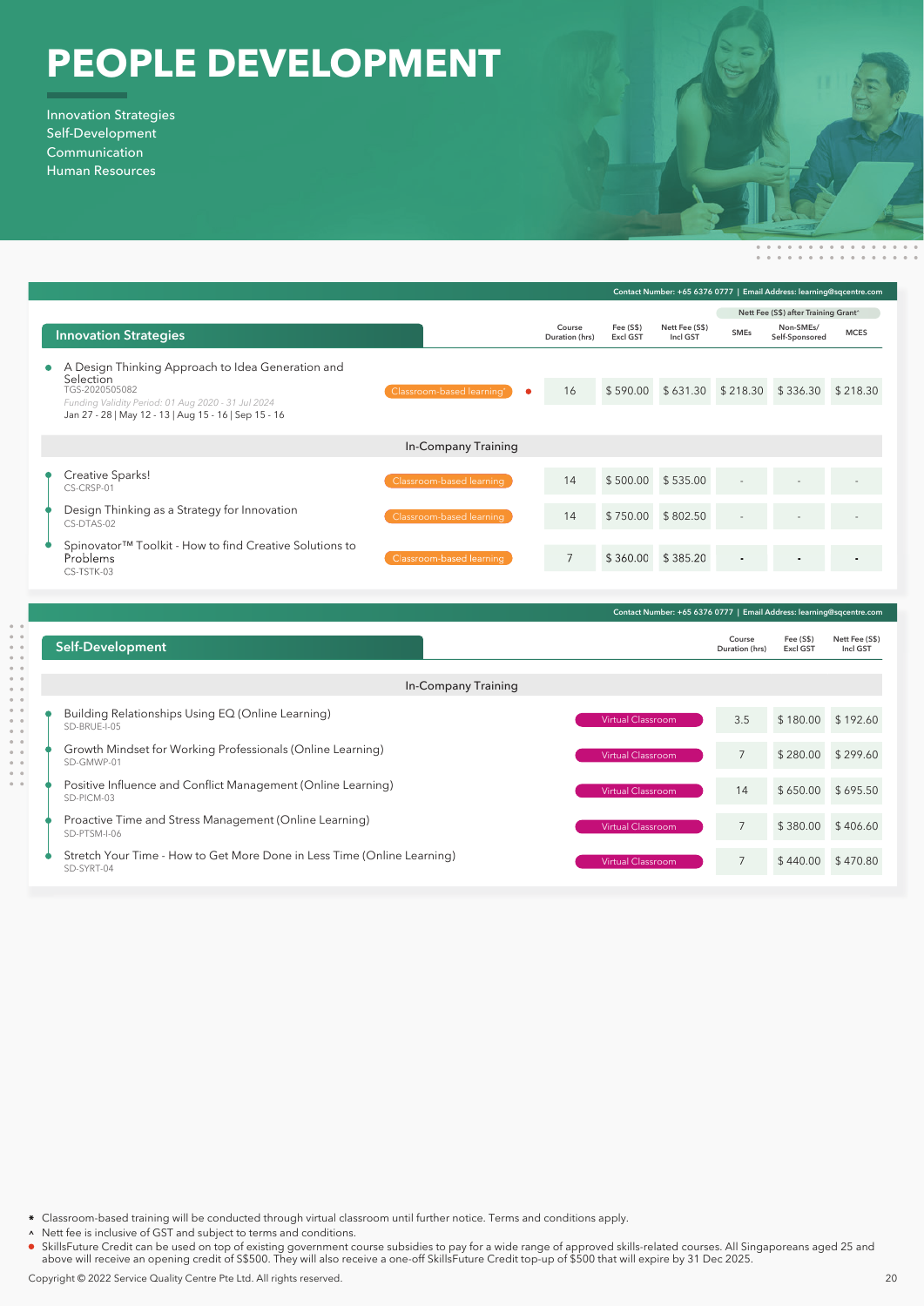## **PEOPLE DEVELOPMENT**

Innovation Strategies Self-Development Communication Human Resources

|                                                                                                                                                               |                                |                          | Contact Number: +65 6376 0777   Email Address: learning@sqcentre.com |                            |                                      |                                              |             |  |
|---------------------------------------------------------------------------------------------------------------------------------------------------------------|--------------------------------|--------------------------|----------------------------------------------------------------------|----------------------------|--------------------------------------|----------------------------------------------|-------------|--|
|                                                                                                                                                               |                                |                          |                                                                      |                            | Nett Fee (S\$) after Training Grant^ |                                              |             |  |
| <b>Innovation Strategies</b>                                                                                                                                  |                                | Course<br>Duration (hrs) | Fee (S\$)<br><b>Excl GST</b>                                         | Nett Fee (S\$)<br>Incl GST | <b>SMEs</b>                          | Non-SMEs/<br>Self-Sponsored                  | <b>MCES</b> |  |
| Design Thinking Approach to Idea Generation and<br>А<br>$\bullet$<br><b>Selection</b><br>TGS-2020505082<br>Funding Validity Period: 01 Aug 2020 - 31 Jul 2024 | Classroom-based learning*<br>۰ | 16                       |                                                                      |                            |                                      | \$590.00 \$631.30 \$218.30 \$336.30 \$218.30 |             |  |
| Jan 27 - 28   May 12 - 13   Aug 15 - 16   Sep 15 - 16                                                                                                         |                                |                          |                                                                      |                            |                                      |                                              |             |  |
| In-Company Training                                                                                                                                           |                                |                          |                                                                      |                            |                                      |                                              |             |  |
| Creative Sparks!<br>CS-CRSP-01                                                                                                                                | Classroom-based learning       | 14                       | \$500.00 \$535.00                                                    |                            |                                      |                                              |             |  |
| Design Thinking as a Strategy for Innovation<br>CS-DTAS-02                                                                                                    | Classroom-based learning       | 14                       |                                                                      | \$750.00 \$802.50          | $\sim$                               |                                              |             |  |
| Spinovator <sup>™</sup> Toolkit - How to find Creative Solutions to<br><b>Problems</b><br>CS-TSTK-03                                                          | Classroom-based learning       | $\overline{7}$           |                                                                      | \$360.00 \$385.20          |                                      |                                              |             |  |

| Contact Number: +65 6376 0777   Email Address: learning@sqcentre.com                                       |                          |                              |                            |  |
|------------------------------------------------------------------------------------------------------------|--------------------------|------------------------------|----------------------------|--|
| <b>Self-Development</b>                                                                                    | Course<br>Duration (hrs) | Fee (S\$)<br><b>Excl GST</b> | Nett Fee (S\$)<br>Incl GST |  |
| In-Company Training                                                                                        |                          |                              |                            |  |
| Building Relationships Using EQ (Online Learning)<br><b>Virtual Classroom</b><br>SD-BRUE-I-05              | 3.5                      | \$180.00 \$192.60            |                            |  |
| Growth Mindset for Working Professionals (Online Learning)<br>Virtual Classroom<br>SD-GMWP-01              | $\overline{7}$           | \$280.00 \$299.60            |                            |  |
| Positive Influence and Conflict Management (Online Learning)<br>Virtual Classroom<br>SD-PICM-03            | 14                       | \$650.00 \$695.50            |                            |  |
| Proactive Time and Stress Management (Online Learning)<br><b>Virtual Classroom</b><br>SD-PTSM-I-06         | $\overline{7}$           | \$380.00                     | \$406.60                   |  |
| Stretch Your Time - How to Get More Done in Less Time (Online Learning)<br>Virtual Classroom<br>SD-SYRT-04 | $\overline{7}$           | \$440.00                     | \$470.80                   |  |

- Classroom-based training will be conducted through virtual classroom until further notice. Terms and conditions apply.
- A Nett fee is inclusive of GST and subject to terms and conditions.
- SkillsFuture Credit can be used on top of existing government course subsidies to pay for a wide range of approved skills-related courses. All Singaporeans aged 25 and above will receive an opening credit of S\$500. They will also receive a one-off SkillsFuture Credit top-up of \$500 that will expire by 31 Dec 2025.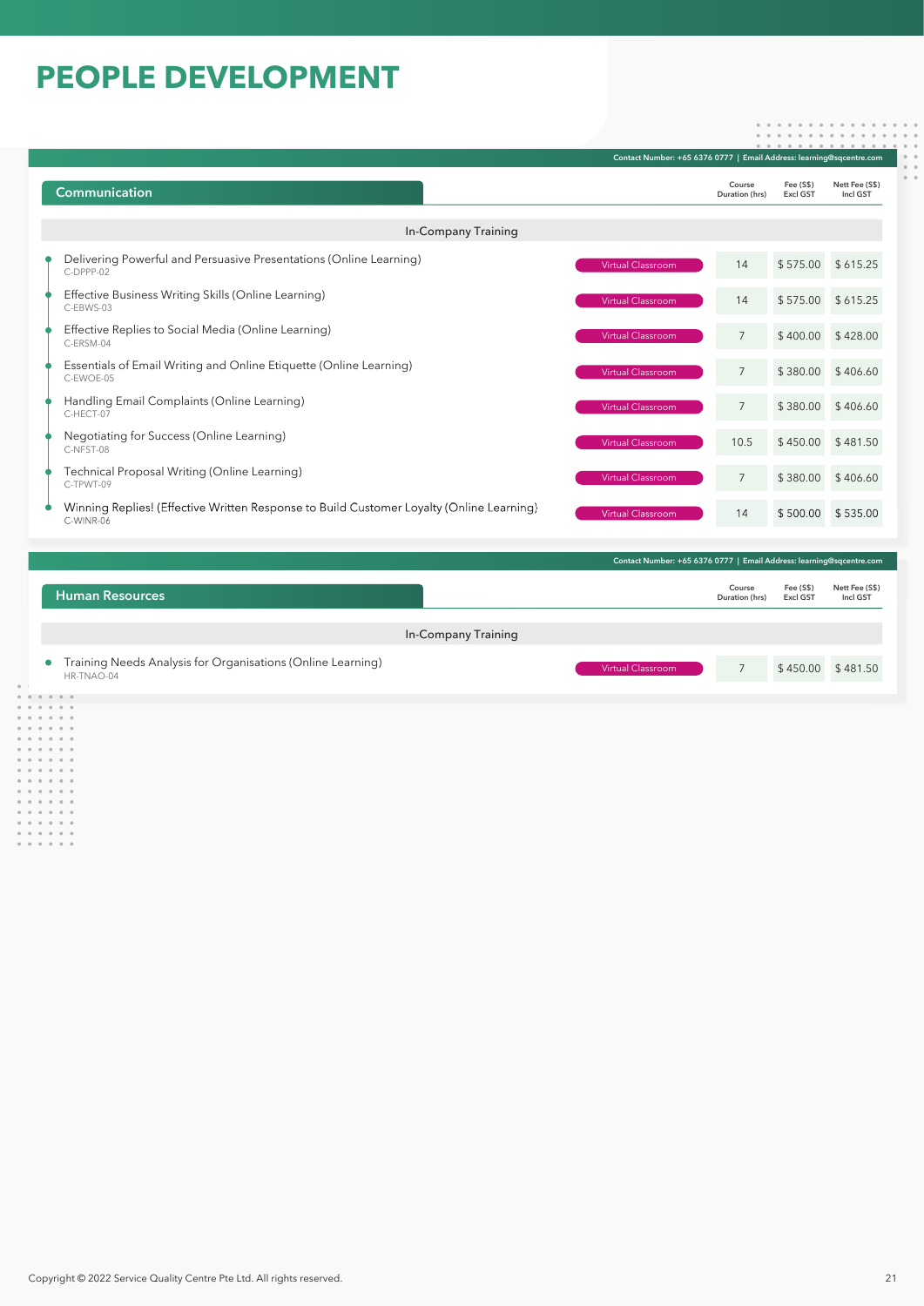## **PEOPLE DEVELOPMENT**

|                                                                                                       |                                                                      | Contact Number: +65 6376 0777   Email Address: learning@sqcentre.com |                              |                            |  |
|-------------------------------------------------------------------------------------------------------|----------------------------------------------------------------------|----------------------------------------------------------------------|------------------------------|----------------------------|--|
| <b>Communication</b>                                                                                  |                                                                      | Course<br>Duration (hrs)                                             | Fee (S\$)<br>Excl GST        | Nett Fee (S\$)<br>Incl GST |  |
| <b>In-Company Training</b>                                                                            |                                                                      |                                                                      |                              |                            |  |
| Delivering Powerful and Persuasive Presentations (Online Learning)<br>C-DPPP-02                       | Virtual Classroom                                                    | 14                                                                   |                              | \$575.00 \$615.25          |  |
| Effective Business Writing Skills (Online Learning)<br>C-EBWS-03                                      | <b>Virtual Classroom</b>                                             | 14                                                                   |                              | \$575.00 \$615.25          |  |
| Effective Replies to Social Media (Online Learning)<br>C-ERSM-04                                      | <b>Virtual Classroom</b>                                             | 7                                                                    | \$400.00                     | \$428.00                   |  |
| Essentials of Email Writing and Online Etiquette (Online Learning)<br>C-EWOE-05                       | Virtual Classroom                                                    | $7\overline{ }$                                                      |                              | \$380.00 \$406.60          |  |
| Handling Email Complaints (Online Learning)<br>C-HFCT-07                                              | Virtual Classroom                                                    | $7\overline{ }$                                                      |                              | \$380.00 \$406.60          |  |
| Negotiating for Success (Online Learning)<br>C-NFST-08                                                | Virtual Classroom                                                    | 10.5                                                                 |                              | $$450.00$ $$481.50$        |  |
| Technical Proposal Writing (Online Learning)<br>C-TPWT-09                                             | Virtual Classroom                                                    | $\overline{7}$                                                       | \$380.00                     | \$406.60                   |  |
| Winning Replies! (Effective Written Response to Build Customer Loyalty (Online Learning)<br>C-WINR-06 | Virtual Classroom                                                    | 14                                                                   |                              | \$500.00 \$535.00          |  |
|                                                                                                       | Contact Number: +65 6376 0777   Email Address: learning@sqcentre.com |                                                                      |                              |                            |  |
| <b>Human Resources</b>                                                                                |                                                                      | Course<br>Duration (hrs)                                             | Fee (S\$)<br><b>Excl GST</b> | Nett Fee (S\$)<br>Incl GST |  |
| <b>In-Company Training</b>                                                                            |                                                                      |                                                                      |                              |                            |  |
| Training Needs Analysis for Organisations (Online Learning)                                           | <b>Virtual Classroom</b>                                             | 7                                                                    | \$450.00 \$481.50            |                            |  |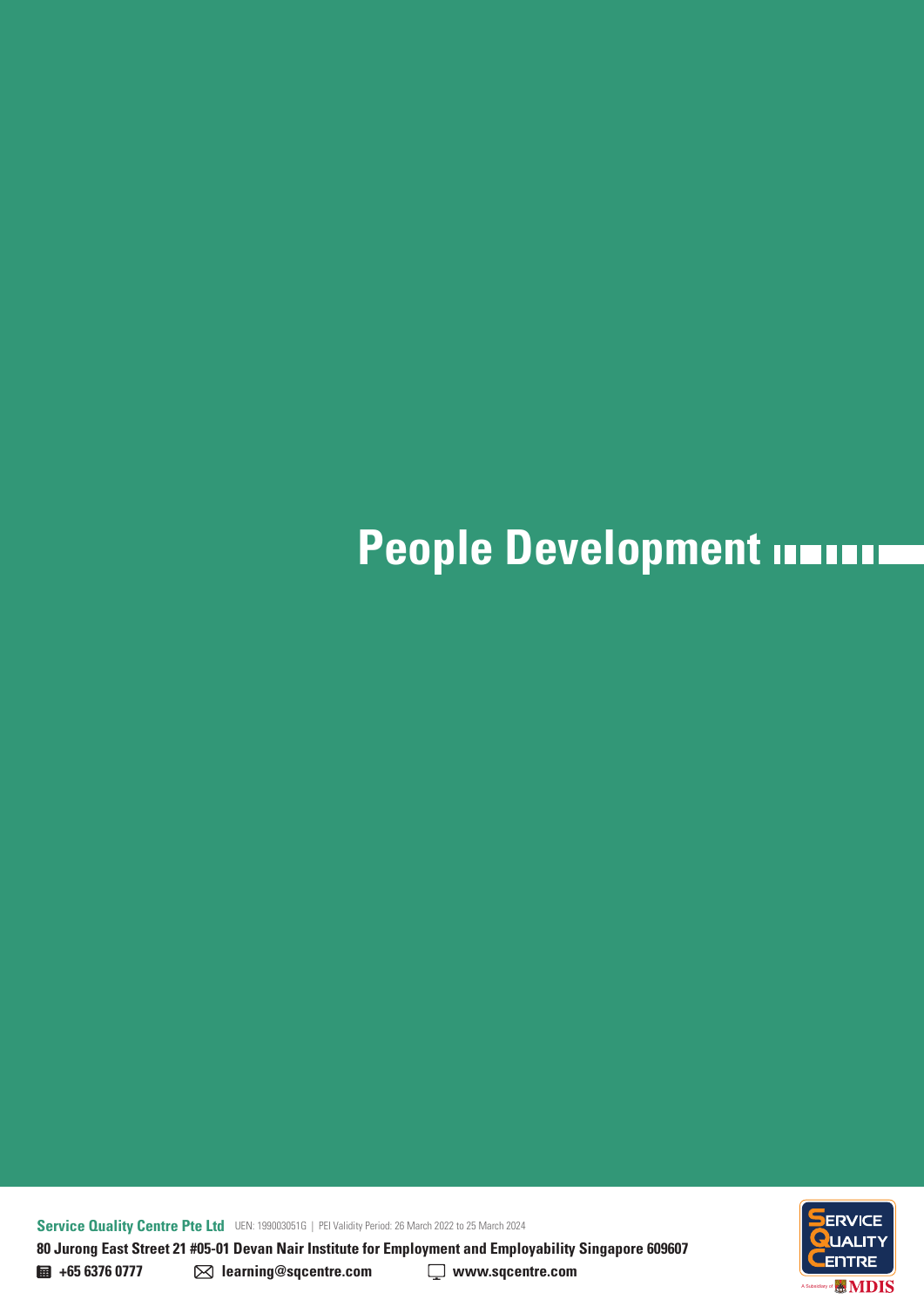## **People Development INTITIII**

**Service Quality Centre Pte Ltd** UEN: 199003051G | PEI Validity Period: 26 March 2022 to 25 March 2024 **80 Jurong East Street 21 #05-01 Devan Nair Institute for Employment and Employability Singapore 609607** 



**+65 6376 0777 learning@sqcentre.com www.sqcentre.com**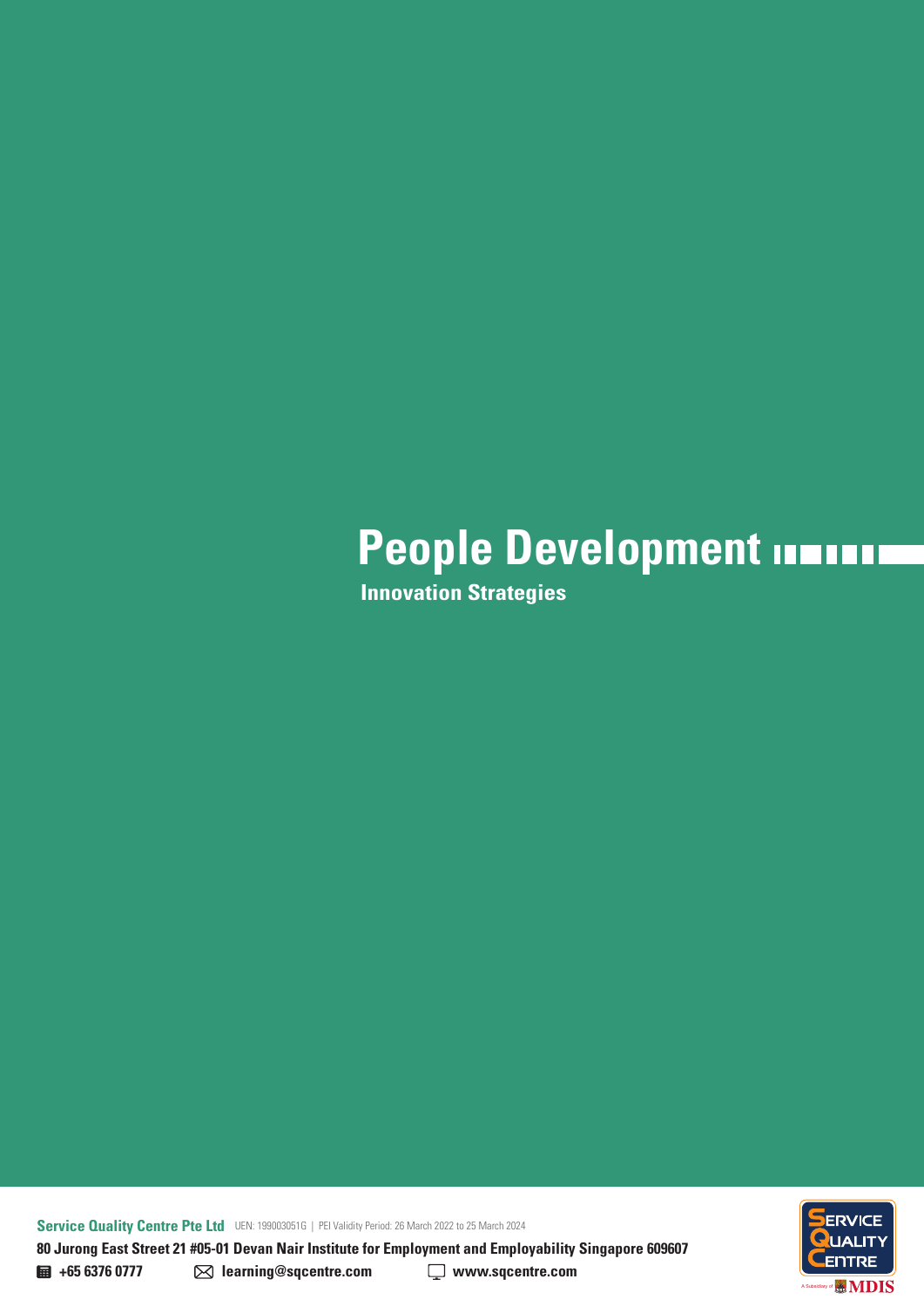**Innovation Strategies**

**Service Quality Centre Pte Ltd** UEN: 199003051G | PEI Validity Period: 26 March 2022 to 25 March 2024 **80 Jurong East Street 21 #05-01 Devan Nair Institute for Employment and Employability Singapore 609607** 

ENTRE **MDIS** A Subsidiary of

**+65 6376 0777 learning@sqcentre.com www.sqcentre.com**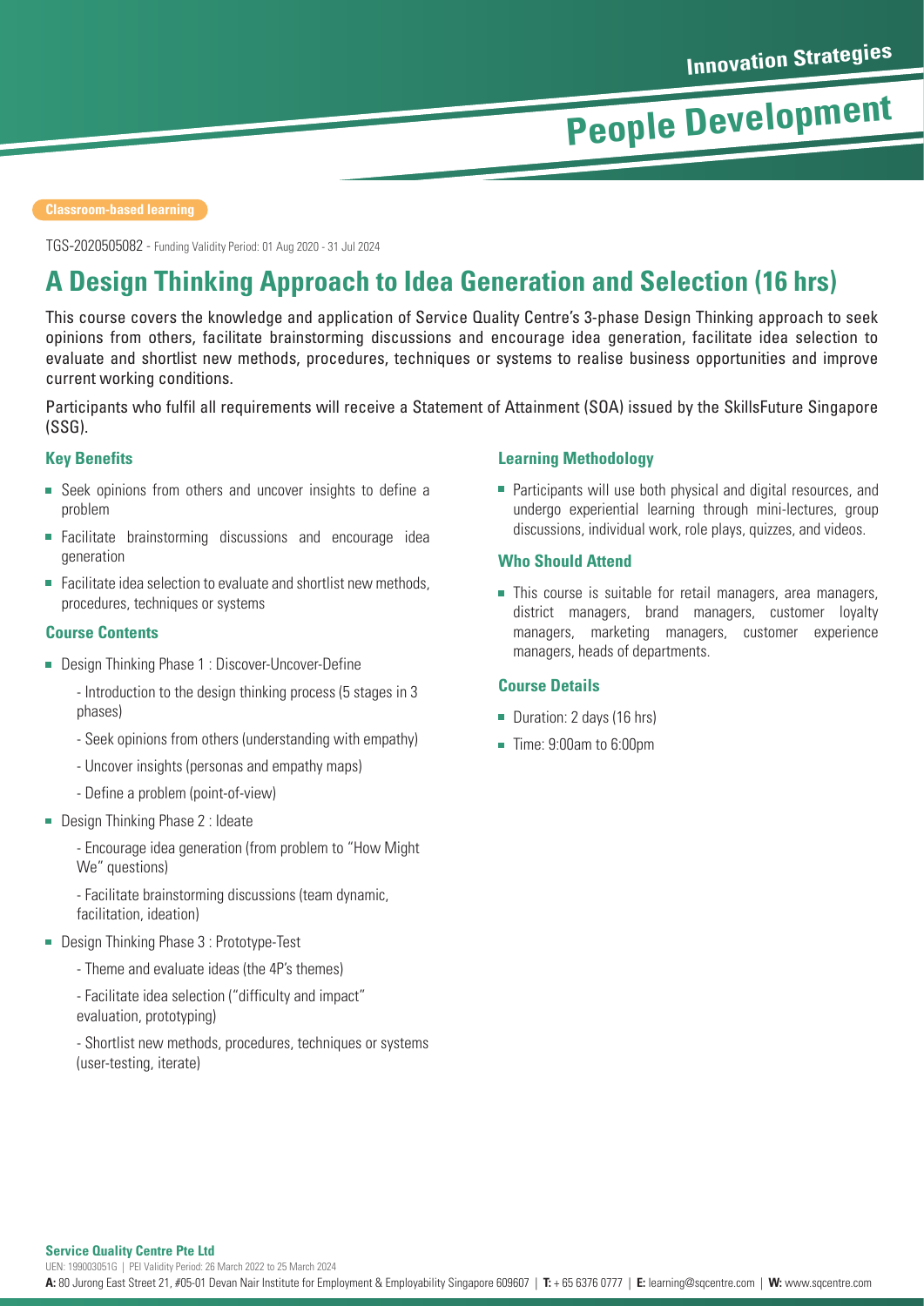TGS-2020505082 - Funding Validity Period: 01 Aug 2020 - 31 Jul 2024

## **A Design Thinking Approach to Idea Generation and Selection (16 hrs)**

This course covers the knowledge and application of Service Quality Centre's 3-phase Design Thinking approach to seek opinions from others, facilitate brainstorming discussions and encourage idea generation, facilitate idea selection to evaluate and shortlist new methods, procedures, techniques or systems to realise business opportunities and improve current working conditions.

Participants who fulfil all requirements will receive a Statement of Attainment (SOA) issued by the SkillsFuture Singapore (SSG).

#### **Key Benefits**

- Seek opinions from others and uncover insights to define a problem
- Facilitate brainstorming discussions and encourage idea generation
- Facilitate idea selection to evaluate and shortlist new methods, procedures, techniques or systems

#### **Course Contents**

■ Design Thinking Phase 1 : Discover-Uncover-Define

- Introduction to the design thinking process (5 stages in 3 phases)

- Seek opinions from others (understanding with empathy)
- Uncover insights (personas and empathy maps)
- Define a problem (point-of-view)
- **Design Thinking Phase 2: Ideate**

- Encourage idea generation (from problem to "How Might We" questions)

- Facilitate brainstorming discussions (team dynamic, facilitation, ideation)

- Design Thinking Phase 3 : Prototype-Test
	- Theme and evaluate ideas (the 4P's themes)

- Facilitate idea selection ("difficulty and impact" evaluation, prototyping)

- Shortlist new methods, procedures, techniques or systems (user-testing, iterate)

#### **Learning Methodology**

**Participants will use both physical and digital resources, and** undergo experiential learning through mini-lectures, group discussions, individual work, role plays, quizzes, and videos.

#### **Who Should Attend**

This course is suitable for retail managers, area managers, district managers, brand managers, customer loyalty managers, marketing managers, customer experience managers, heads of departments.

#### **Course Details**

- Duration: 2 days (16 hrs)
- Time: 9:00am to 6:00pm

#### **Service Quality Centre Pte Ltd**

UEN: 199003051G | PEI Validity Period: 26 March 2022 to 25 March 2024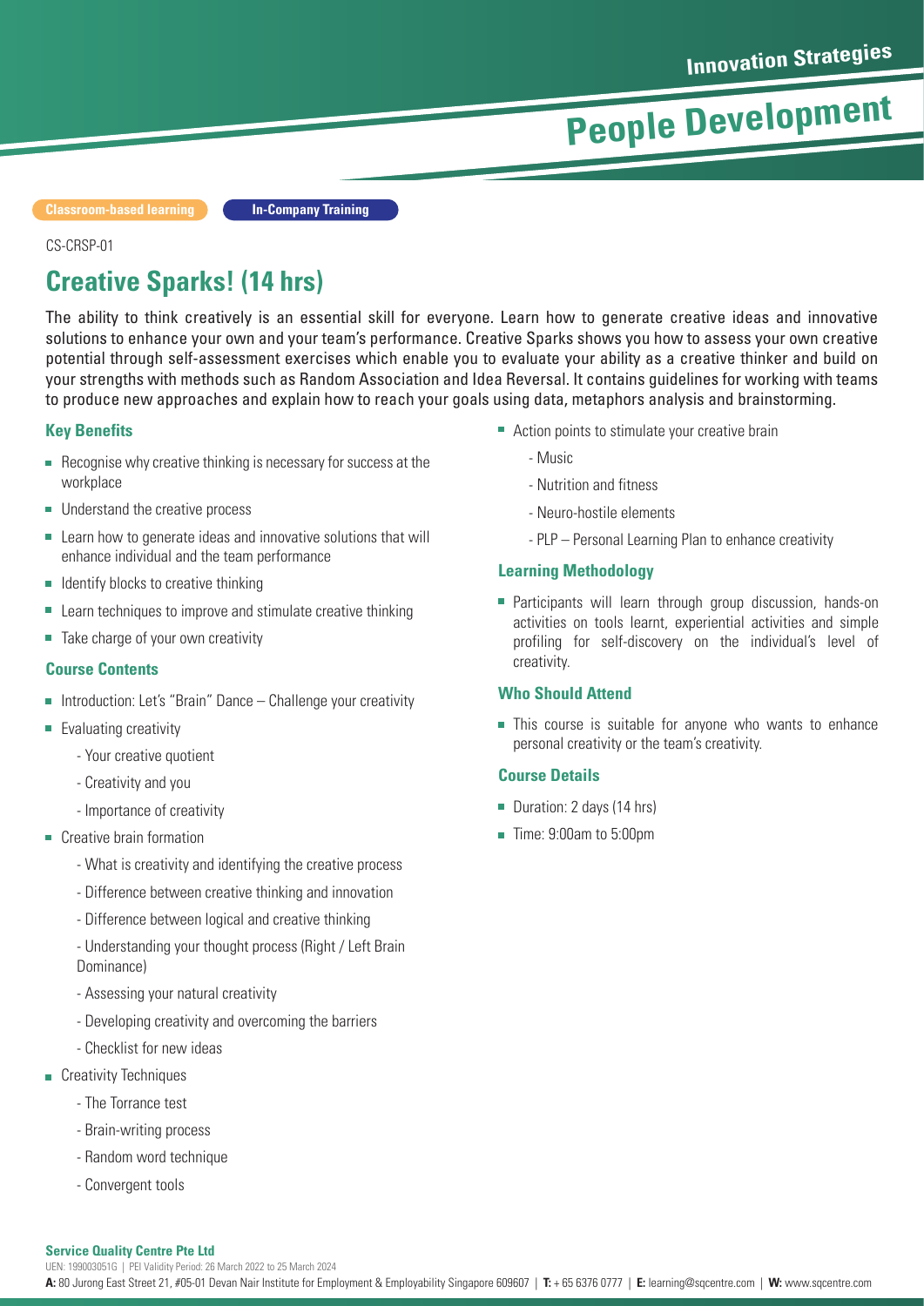**Classroom-based learning**

**In-Company Training**

#### CS-CRSP-01

## **Creative Sparks! (14 hrs)**

The ability to think creatively is an essential skill for everyone. Learn how to generate creative ideas and innovative solutions to enhance your own and your team's performance. Creative Sparks shows you how to assess your own creative potential through self-assessment exercises which enable you to evaluate your ability as a creative thinker and build on your strengths with methods such as Random Association and Idea Reversal. It contains guidelines for working with teams to produce new approaches and explain how to reach your goals using data, metaphors analysis and brainstorming.

#### **Key Benefits**

- Recognise why creative thinking is necessary for success at the workplace
- Understand the creative process
- $\overline{\phantom{a}}$ Learn how to generate ideas and innovative solutions that will enhance individual and the team performance
- $\blacksquare$  Identify blocks to creative thinking
- Learn techniques to improve and stimulate creative thinking Ē,
- Take charge of your own creativity

#### **Course Contents**

- Introduction: Let's "Brain" Dance  $-$  Challenge your creativity
- **Evaluating creativity** 
	- Your creative quotient
	- Creativity and you
	- Importance of creativity
- Creative brain formation
	- What is creativity and identifying the creative process
	- Difference between creative thinking and innovation
	- Difference between logical and creative thinking
	- Understanding your thought process (Right / Left Brain Dominance)
	- Assessing your natural creativity
	- Developing creativity and overcoming the barriers
	- Checklist for new ideas
- **Creativity Techniques** 
	- The Torrance test
	- Brain-writing process
	- Random word technique
	- Convergent tools

#### ■ Action points to stimulate your creative brain

- Music
- Nutrition and fitness
- Neuro-hostile elements
- PLP Personal Learning Plan to enhance creativity

#### **Learning Methodology**

**Participants will learn through group discussion, hands-on** activities on tools learnt, experiential activities and simple profiling for self-discovery on the individual's level of creativity.

#### **Who Should Attend**

This course is suitable for anyone who wants to enhance personal creativity or the team's creativity.

#### **Course Details**

- Duration: 2 days (14 hrs)
- **Time: 9:00am to 5:00pm**

#### **Service Quality Centre Pte Ltd**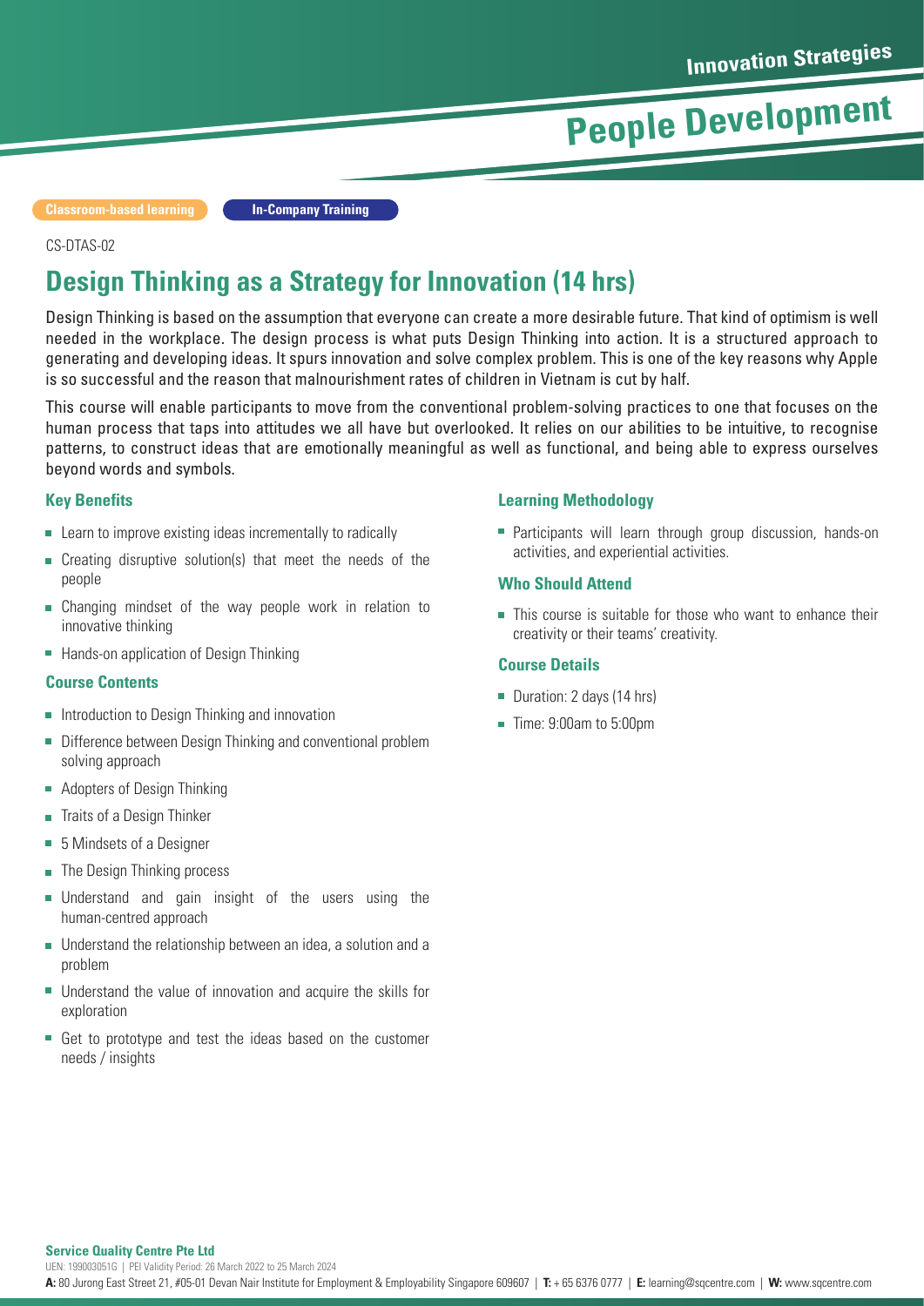**Classroom-based learning In-Company Training**

#### CS-DTAS-02

### **Design Thinking as a Strategy for Innovation (14 hrs)**

Design Thinking is based on the assumption that everyone can create a more desirable future. That kind of optimism is well needed in the workplace. The design process is what puts Design Thinking into action. It is a structured approach to generating and developing ideas. It spurs innovation and solve complex problem. This is one of the key reasons why Apple is so successful and the reason that malnourishment rates of children in Vietnam is cut by half.

This course will enable participants to move from the conventional problem-solving practices to one that focuses on the human process that taps into attitudes we all have but overlooked. It relies on our abilities to be intuitive, to recognise patterns, to construct ideas that are emotionally meaningful as well as functional, and being able to express ourselves beyond words and symbols.

#### **Key Benefits**

- **EXECUTE:** Learn to improve existing ideas incrementally to radically
- Creating disruptive solution(s) that meet the needs of the  $\overline{\phantom{a}}$ people
- Changing mindset of the way people work in relation to innovative thinking
- **Hands-on application of Design Thinking**

#### **Course Contents**

- Introduction to Design Thinking and innovation  $\overline{\phantom{a}}$
- $\overline{\phantom{a}}$ Difference between Design Thinking and conventional problem solving approach
- Adopters of Design Thinking
- Traits of a Design Thinker  $\overline{\phantom{a}}$
- 5 Mindsets of a Designer
- $\mathbf{r}$ The Design Thinking process
- $\mathbf{r}$ Understand and gain insight of the users using the human-centred approach
- Understand the relationship between an idea, a solution and a problem
- $\overline{\phantom{a}}$ Understand the value of innovation and acquire the skills for exploration
- Get to prototype and test the ideas based on the customer needs / insights

#### **Learning Methodology**

**Participants will learn through group discussion, hands-on** activities, and experiential activities.

#### **Who Should Attend**

**This course is suitable for those who want to enhance their** creativity or their teams' creativity.

#### **Course Details**

- Duration: 2 days (14 hrs)
- $\blacksquare$  Time: 9:00am to 5:00pm

#### **Service Quality Centre Pte Ltd**

UEN: 199003051G | PEI Validity Period: 26 March 2022 to 25 March 2024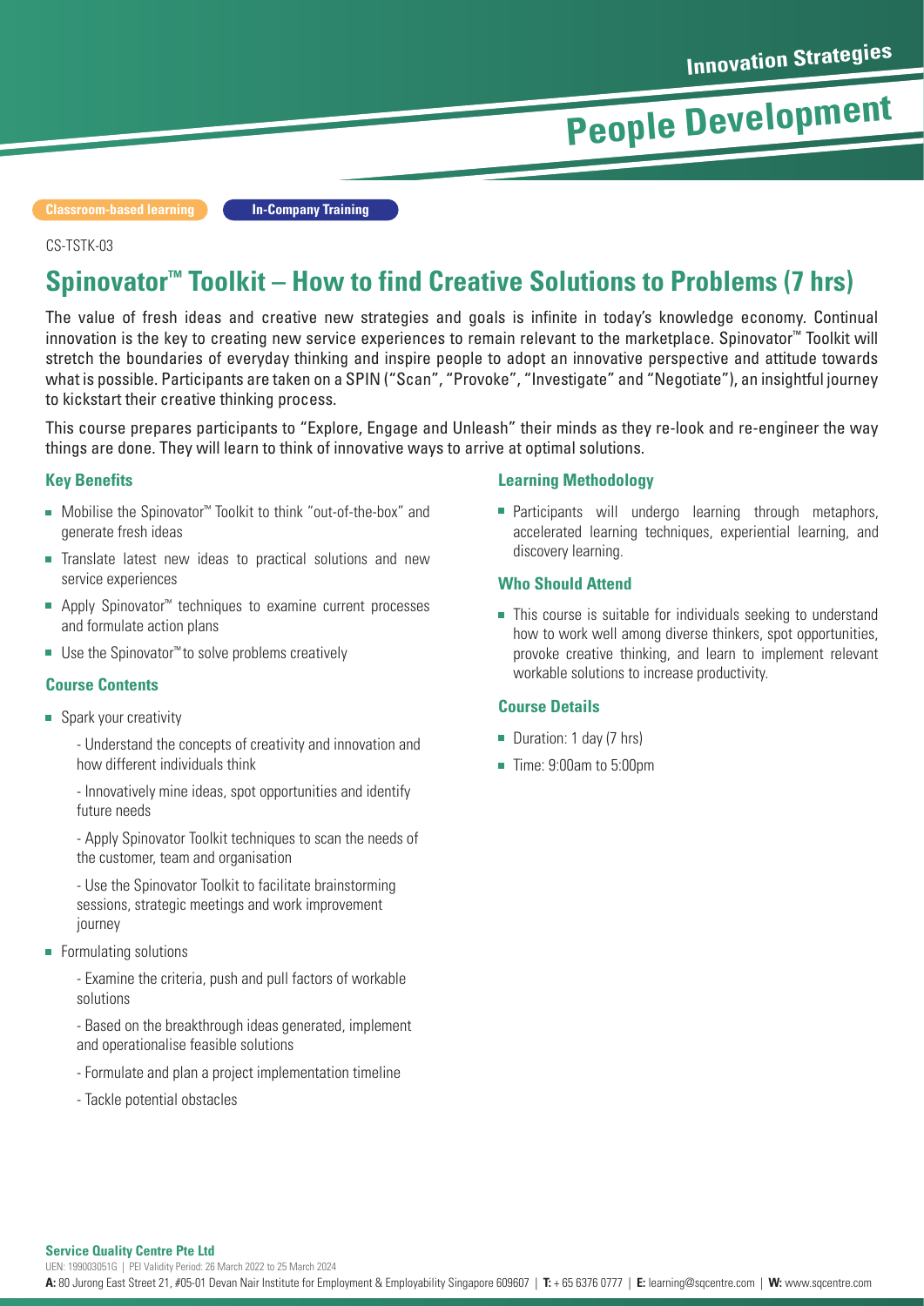**Classroom-based learning In-Company Training**

#### CS-TSTK-03

## **Spinovator™ Toolkit – How to find Creative Solutions to Problems (7 hrs)**

The value of fresh ideas and creative new strategies and goals is infinite in today's knowledge economy. Continual innovation is the key to creating new service experiences to remain relevant to the marketplace. Spinovator™ Toolkit will stretch the boundaries of everyday thinking and inspire people to adopt an innovative perspective and attitude towards what is possible. Participants are taken on a SPIN ("Scan", "Provoke", "Investigate" and "Negotiate"), an insightful journey to kickstart their creative thinking process.

This course prepares participants to "Explore, Engage and Unleash" their minds as they re-look and re-engineer the way things are done. They will learn to think of innovative ways to arrive at optimal solutions.

#### **Key Benefits**

- Mobilise the Spinovator<sup>™</sup> Toolkit to think "out-of-the-box" and generate fresh ideas
- $\overline{\phantom{a}}$ Translate latest new ideas to practical solutions and new service experiences
- Apply Spinovator<sup>™</sup> techniques to examine current processes and formulate action plans
- Use the Spinovator<sup>™</sup> to solve problems creatively

#### **Course Contents**

■ Spark your creativity

- Understand the concepts of creativity and innovation and how different individuals think

- Innovatively mine ideas, spot opportunities and identify future needs

- Apply Spinovator Toolkit techniques to scan the needs of the customer, team and organisation

- Use the Spinovator Toolkit to facilitate brainstorming sessions, strategic meetings and work improvement journey

**Formulating solutions** 

- Examine the criteria, push and pull factors of workable solutions

- Based on the breakthrough ideas generated, implement and operationalise feasible solutions

- Formulate and plan a project implementation timeline
- Tackle potential obstacles

#### **Learning Methodology**

**Participants will undergo learning through metaphors,** accelerated learning techniques, experiential learning, and discovery learning.

#### **Who Should Attend**

This course is suitable for individuals seeking to understand how to work well among diverse thinkers, spot opportunities, provoke creative thinking, and learn to implement relevant workable solutions to increase productivity.

#### **Course Details**

- Duration: 1 day (7 hrs)
- Time: 9:00am to 5:00pm

#### **Service Quality Centre Pte Ltd**

UEN: 199003051G | PEI Validity Period: 26 March 2022 to 25 March 2024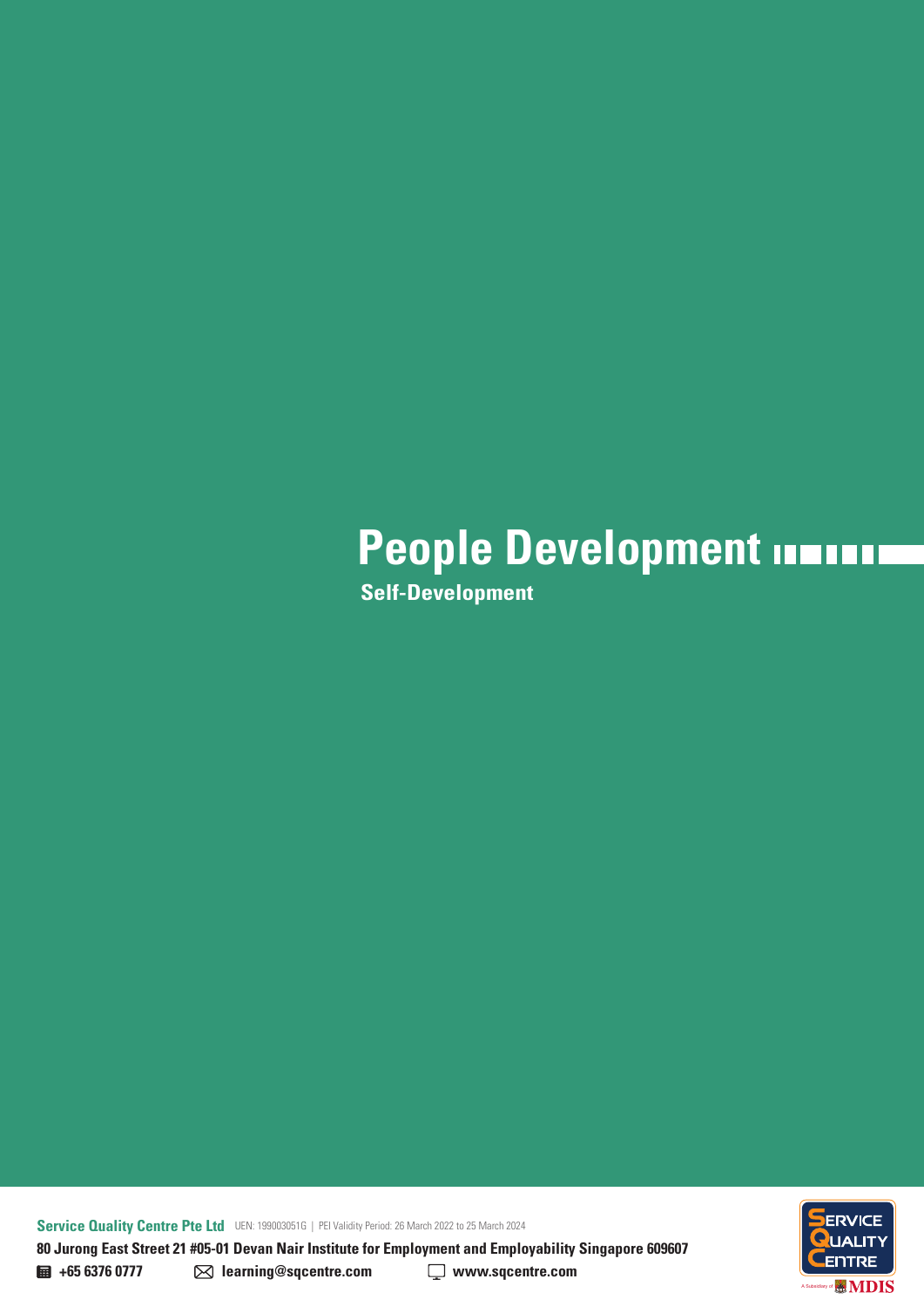## **People Development INTITIII**

**Self-Development**

**Service Quality Centre Pte Ltd** UEN: 199003051G | PEI Validity Period: 26 March 2022 to 25 March 2024 **80 Jurong East Street 21 #05-01 Devan Nair Institute for Employment and Employability Singapore 609607** 

**ENTRE MDIS** A Subsidiary of

**+65 6376 0777 learning@sqcentre.com www.sqcentre.com**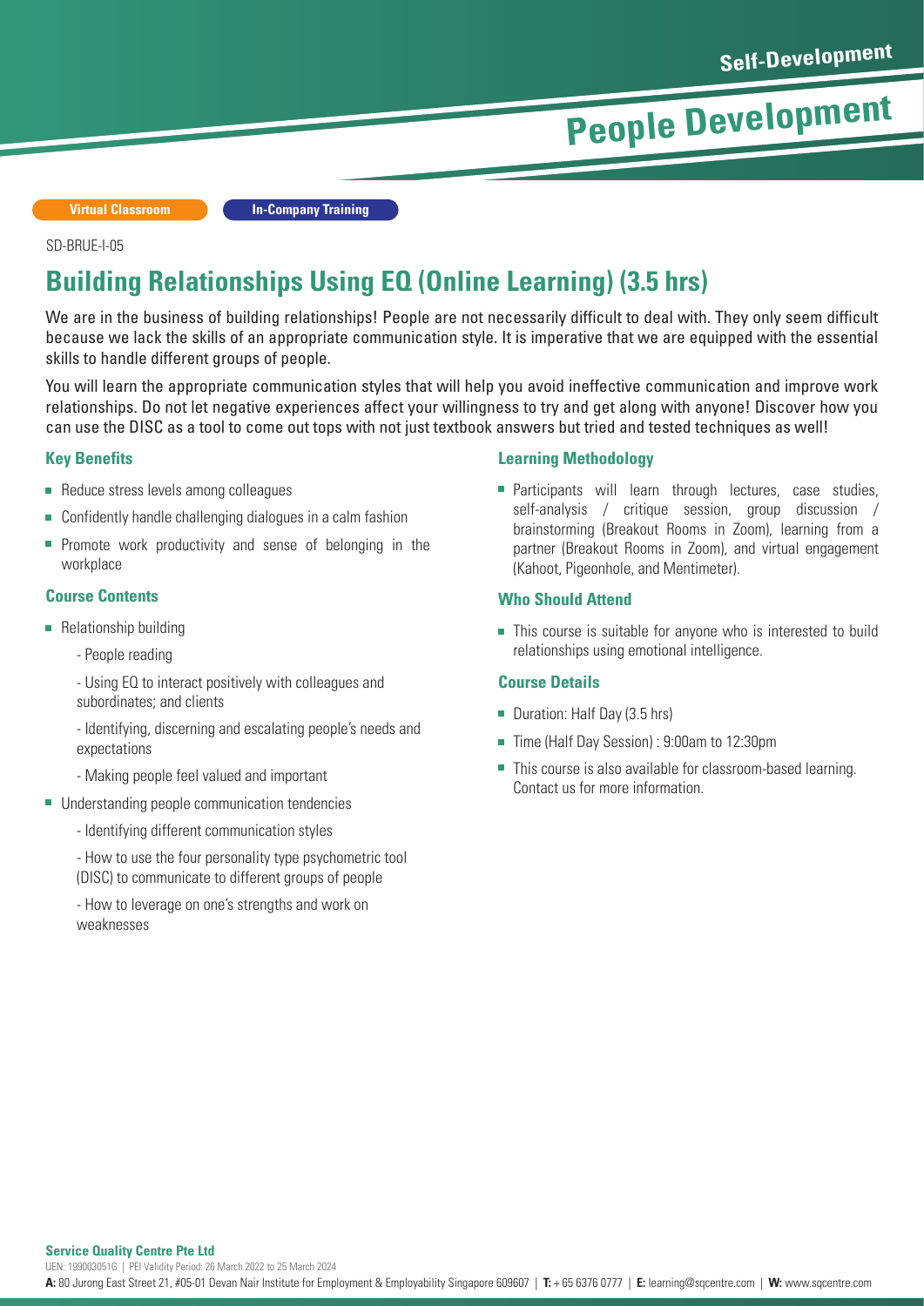**Virtual Classroom In-Company Training**

#### SD-BRUE-I-05

### **Building Relationships Using EQ (Online Learning) (3.5 hrs)**

We are in the business of building relationships! People are not necessarily difficult to deal with. They only seem difficult because we lack the skills of an appropriate communication style. It is imperative that we are equipped with the essential skills to handle different groups of people.

You will learn the appropriate communication styles that will help you avoid ineffective communication and improve work relationships. Do not let negative experiences affect your willingness to try and get along with anyone! Discover how you can use the DISC as a tool to come out tops with not just textbook answers but tried and tested techniques as well!

#### **Key Benefits**

- Reduce stress levels among colleagues
- Confidently handle challenging dialogues in a calm fashion
- $\blacksquare$  Promote work productivity and sense of belonging in the workplace

#### **Course Contents**

- Relationship building
	- People reading
	- Using EQ to interact positively with colleagues and subordinates; and clients
	- Identifying, discerning and escalating people's needs and expectations
	- Making people feel valued and important
- Understanding people communication tendencies
	- Identifying different communication styles
	- How to use the four personality type psychometric tool (DISC) to communicate to different groups of people
	- How to leverage on one's strengths and work on weaknesses

#### **Learning Methodology**

**Participants will learn through lectures, case studies,** self-analysis / critique session, group discussion / brainstorming (Breakout Rooms in Zoom), learning from a partner (Breakout Rooms in Zoom), and virtual engagement (Kahoot, Pigeonhole, and Mentimeter).

#### **Who Should Attend**

This course is suitable for anyone who is interested to build relationships using emotional intelligence.

#### **Course Details**

- Duration: Half Day (3.5 hrs)
- Time (Half Day Session) : 9:00am to 12:30pm
- This course is also available for classroom-based learning. П Contact us for more information.

#### **Service Quality Centre Pte Ltd**

UEN: 199003051G | PEI Validity Period: 26 March 2022 to 25 March 2024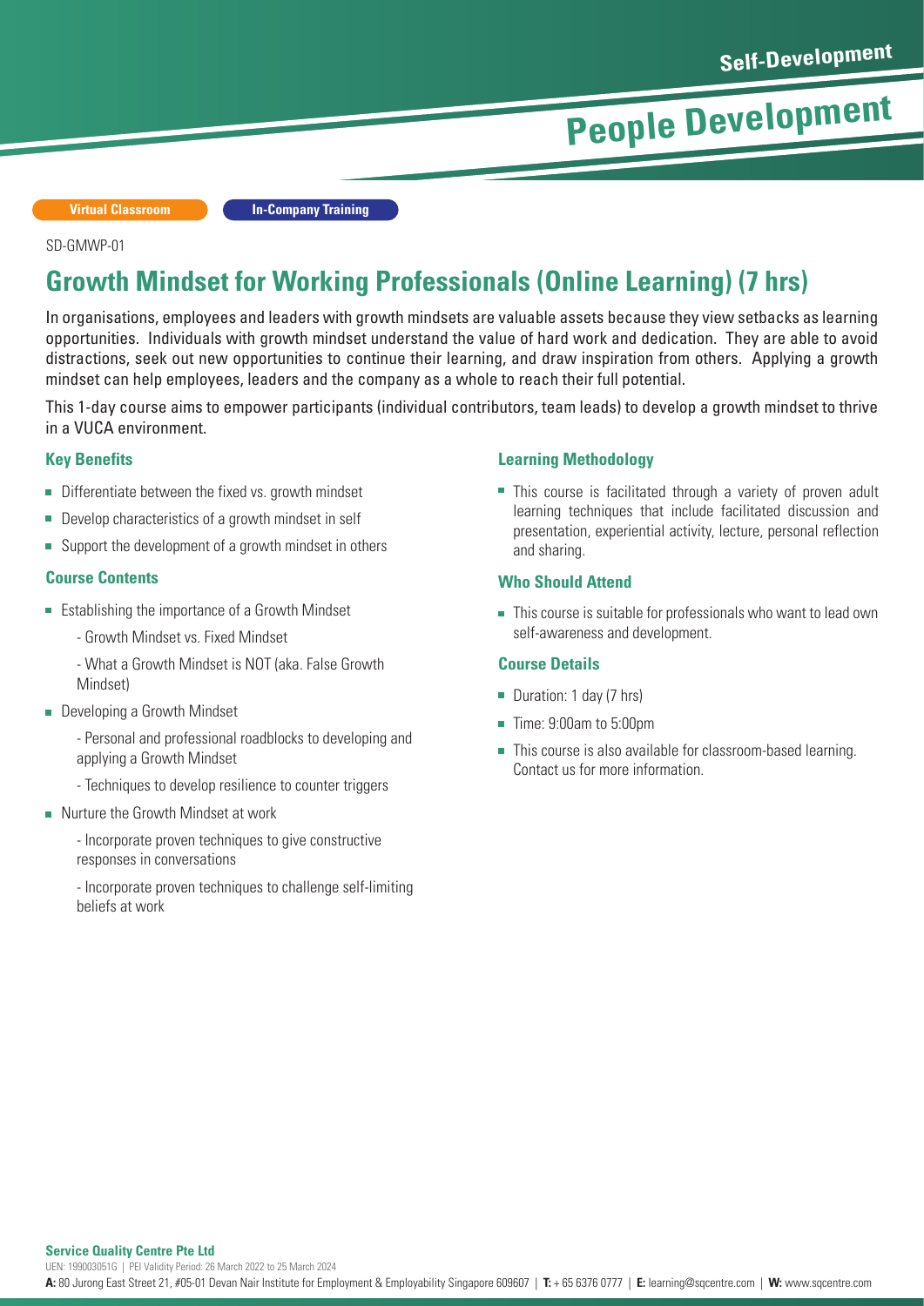**Virtual Classroom**

**In-Company Training**

#### SD-GMWP-01

### **Growth Mindset for Working Professionals (Online Learning) (7 hrs)**

In organisations, employees and leaders with growth mindsets are valuable assets because they view setbacks as learning opportunities. Individuals with growth mindset understand the value of hard work and dedication. They are able to avoid distractions, seek out new opportunities to continue their learning, and draw inspiration from others. Applying a growth mindset can help employees, leaders and the company as a whole to reach their full potential.

This 1-day course aims to empower participants (individual contributors, team leads) to develop a growth mindset to thrive in a VUCA environment.

#### **Key Benefits**

- Differentiate between the fixed vs. growth mindset
- Develop characteristics of a growth mindset in self
- Support the development of a growth mindset in others

#### **Course Contents**

- **Example 1** Fstablishing the importance of a Growth Mindset
	- Growth Mindset vs. Fixed Mindset
	- What a Growth Mindset is NOT (aka. False Growth Mindset)
- Developing a Growth Mindset
	- Personal and professional roadblocks to developing and applying a Growth Mindset
	- Techniques to develop resilience to counter triggers
- **Nurture the Growth Mindset at work**

- Incorporate proven techniques to give constructive responses in conversations

- Incorporate proven techniques to challenge self-limiting beliefs at work

#### **Learning Methodology**

■ This course is facilitated through a variety of proven adult learning techniques that include facilitated discussion and presentation, experiential activity, lecture, personal reflection and sharing.

#### **Who Should Attend**

■ This course is suitable for professionals who want to lead own self-awareness and development.

#### **Course Details**

- Duration: 1 day (7 hrs)
- $\blacksquare$  Time: 9:00am to 5:00pm
- This course is also available for classroom-based learning. Contact us for more information.

**Service Quality Centre Pte Ltd**

UEN: 199003051G | PEI Validity Period: 26 March 2022 to 25 March 2024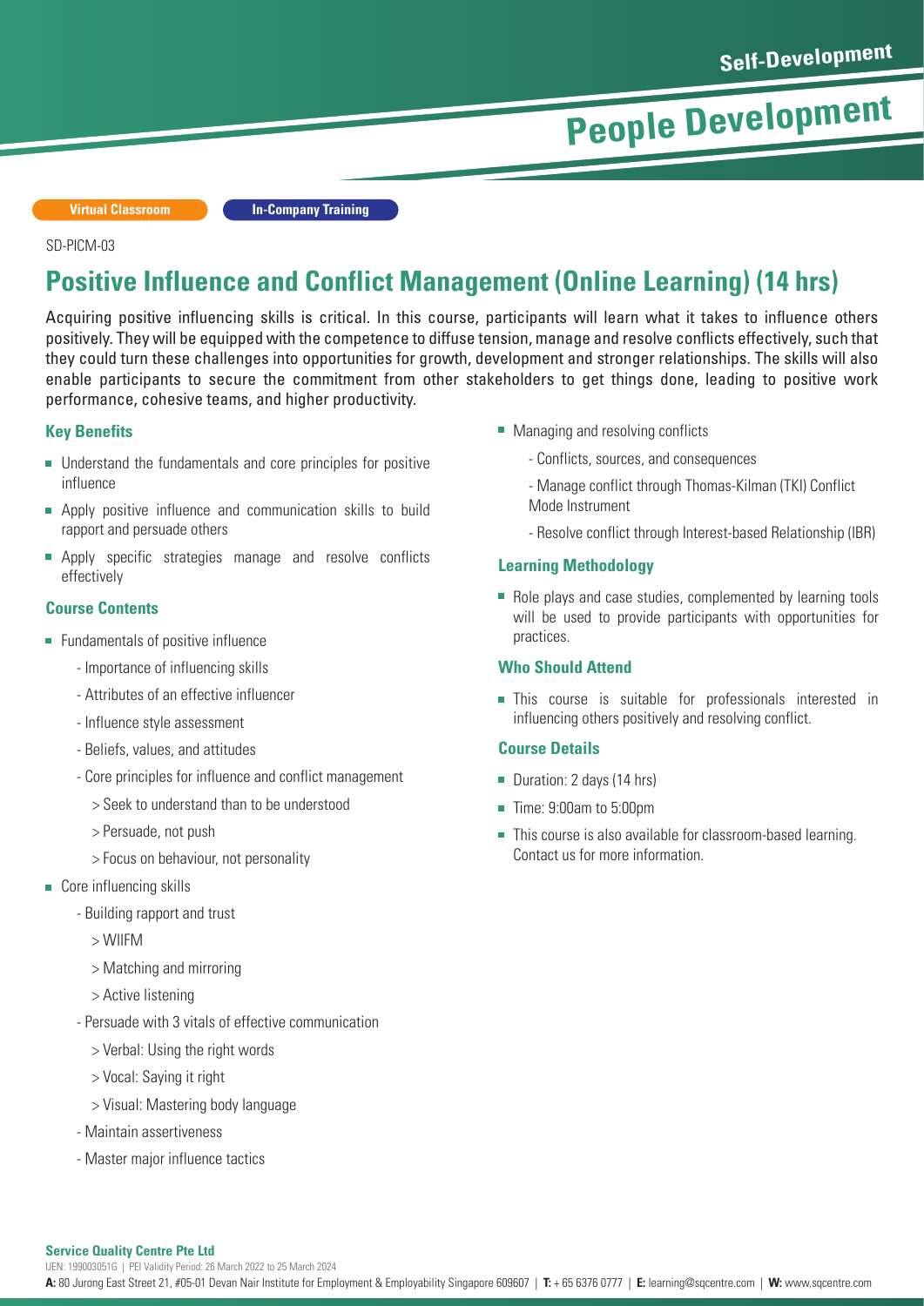**Virtual Classroom In-Company Training**

#### SD-PICM-03

### **Positive Influence and Conflict Management (Online Learning) (14 hrs)**

Acquiring positive influencing skills is critical. In this course, participants will learn what it takes to influence others positively. They will be equipped with the competence to diffuse tension, manage and resolve conflicts effectively, such that they could turn these challenges into opportunities for growth, development and stronger relationships. The skills will also enable participants to secure the commitment from other stakeholders to get things done, leading to positive work performance, cohesive teams, and higher productivity.

#### **Key Benefits**

- Understand the fundamentals and core principles for positive influence
- **Apply positive influence and communication skills to build** rapport and persuade others
- Apply specific strategies manage and resolve conflicts  $\overline{\phantom{a}}$ effectively

#### **Course Contents**

- **Fundamentals of positive influence** 
	- Importance of influencing skills
	- Attributes of an effective influencer
	- Influence style assessment
	- Beliefs, values, and attitudes
	- Core principles for influence and conflict management
		- > Seek to understand than to be understood
		- > Persuade, not push
		- > Focus on behaviour, not personality
- Core influencing skills
	- Building rapport and trust
		- > WIIFM
		- > Matching and mirroring
		- > Active listening
	- Persuade with 3 vitals of effective communication
		- > Verbal: Using the right words
		- > Vocal: Saying it right
		- > Visual: Mastering body language
	- Maintain assertiveness
	- Master major influence tactics
- Managing and resolving conflicts
	- Conflicts, sources, and consequences
	- Manage conflict through Thomas-Kilman (TKI) Conflict Mode Instrument
	- Resolve conflict through Interest-based Relationship (IBR)

#### **Learning Methodology**

Role plays and case studies, complemented by learning tools will be used to provide participants with opportunities for practices.

#### **Who Should Attend**

This course is suitable for professionals interested in influencing others positively and resolving conflict.

#### **Course Details**

- Duration: 2 days (14 hrs)
- **Time: 9:00am to 5:00pm**
- This course is also available for classroom-based learning. Contact us for more information.

#### **Service Quality Centre Pte Ltd**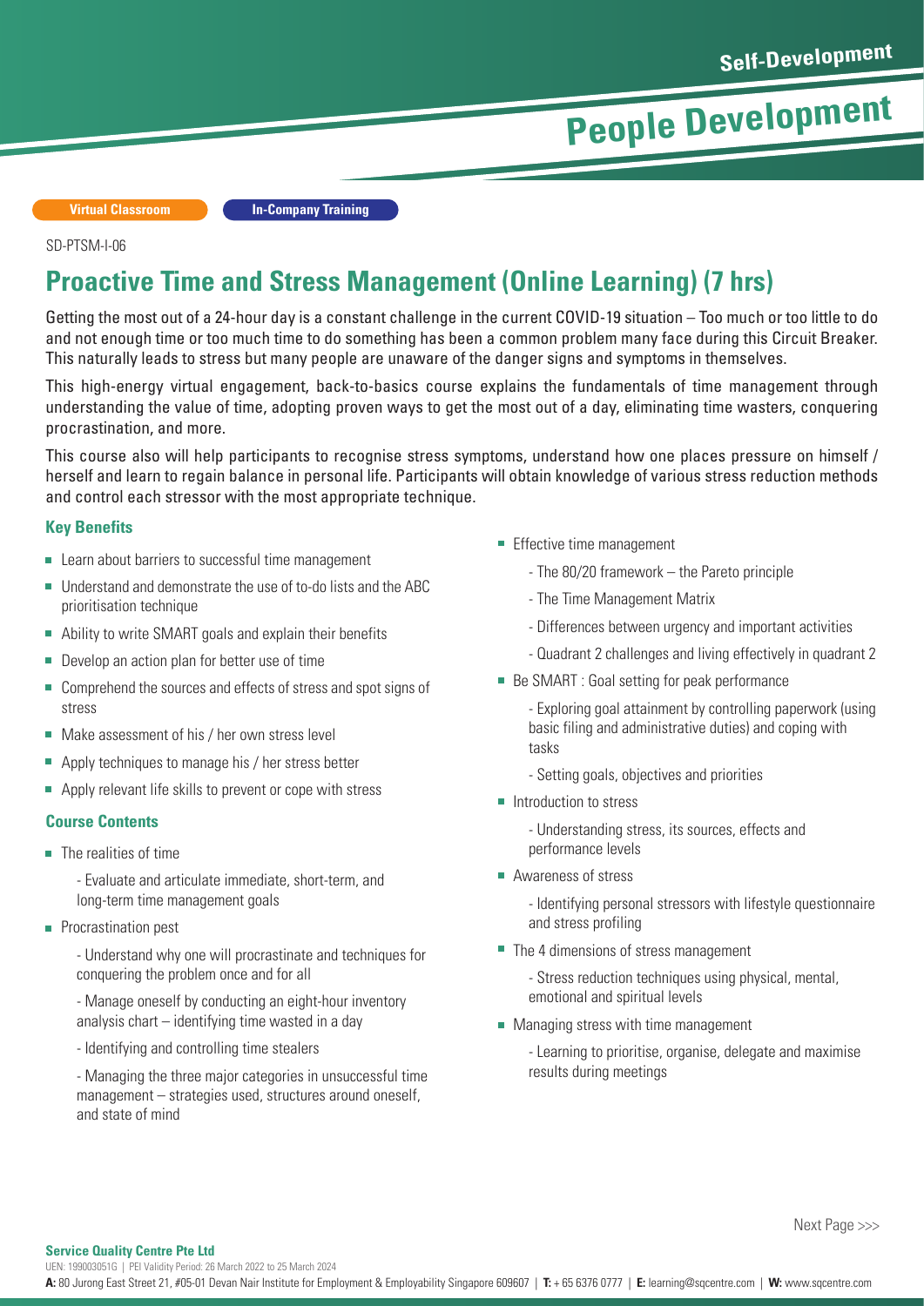**Virtual Classroom In-Company Training**

#### SD-PTSM-I-06

### **Proactive Time and Stress Management (Online Learning) (7 hrs)**

Getting the most out of a 24-hour day is a constant challenge in the current COVID-19 situation – Too much or too little to do and not enough time or too much time to do something has been a common problem many face during this Circuit Breaker. This naturally leads to stress but many people are unaware of the danger signs and symptoms in themselves.

This high-energy virtual engagement, back-to-basics course explains the fundamentals of time management through understanding the value of time, adopting proven ways to get the most out of a day, eliminating time wasters, conquering procrastination, and more.

This course also will help participants to recognise stress symptoms, understand how one places pressure on himself / herself and learn to regain balance in personal life. Participants will obtain knowledge of various stress reduction methods and control each stressor with the most appropriate technique.

#### **Key Benefits**

- **EXECUTE:** Learn about barriers to successful time management
- Understand and demonstrate the use of to-do lists and the ABC prioritisation technique
- Ability to write SMART goals and explain their benefits
- Ì. Develop an action plan for better use of time
- Comprehend the sources and effects of stress and spot signs of stress
- Make assessment of his / her own stress level
- П Apply techniques to manage his / her stress better
- Apply relevant life skills to prevent or cope with stress

#### **Course Contents**

- The realities of time
	- Evaluate and articulate immediate, short-term, and long-term time management goals
- **Procrastination pest** 
	- Understand why one will procrastinate and techniques for conquering the problem once and for all
	- Manage oneself by conducting an eight-hour inventory analysis chart – identifying time wasted in a day
	- Identifying and controlling time stealers
	- Managing the three major categories in unsuccessful time management – strategies used, structures around oneself, and state of mind
- **Effective time management** 
	- The 80/20 framework the Pareto principle
	- The Time Management Matrix
	- Differences between urgency and important activities
	- Quadrant 2 challenges and living effectively in quadrant 2
- Be SMART : Goal setting for peak performance

- Exploring goal attainment by controlling paperwork (using basic filing and administrative duties) and coping with tasks

- Setting goals, objectives and priorities
- Introduction to stress

- Understanding stress, its sources, effects and performance levels

■ Awareness of stress

- Identifying personal stressors with lifestyle questionnaire and stress profiling

■ The 4 dimensions of stress management

- Stress reduction techniques using physical, mental, emotional and spiritual levels

**Managing stress with time management** 

- Learning to prioritise, organise, delegate and maximise results during meetings

UEN: 199003051G | PEI Validity Period: 26 March 2022 to 25 March 2024

**A:** 80 Jurong East Street 21, #05-01 Devan Nair Institute for Employment & Employability Singapore 609607 | **T:** + 65 6376 0777 | **E:** learning@sqcentre.com | **W:** www.sqcentre.com

Next Page >>>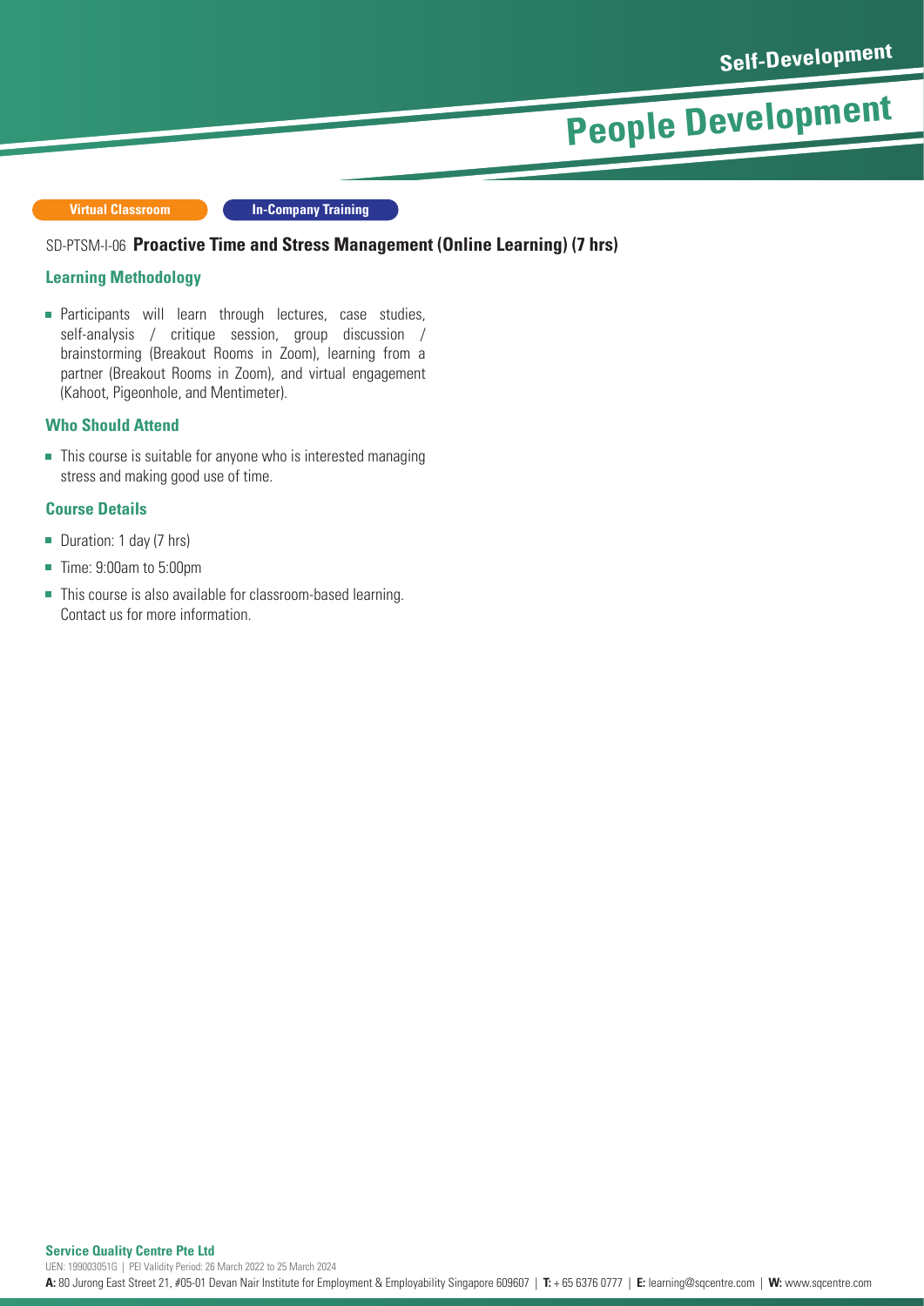**Virtual Classroom**

**In-Company Training**

#### SD-PTSM-I-06 Proactive Time and Stress Management (Online Learning) (7 hrs)

#### **Learning Methodology**

**Participants will learn through lectures, case studies,** self-analysis / critique session, group discussion / brainstorming (Breakout Rooms in Zoom), learning from a partner (Breakout Rooms in Zoom), and virtual engagement (Kahoot, Pigeonhole, and Mentimeter).

#### **Who Should Attend**

■ This course is suitable for anyone who is interested managing stress and making good use of time.

#### **Course Details**

- Duration: 1 day (7 hrs)  $\overline{\phantom{a}}$
- Time: 9:00am to 5:00pm  $\overline{\phantom{a}}$
- This course is also available for classroom-based learning.  $\overline{\phantom{a}}$ Contact us for more information.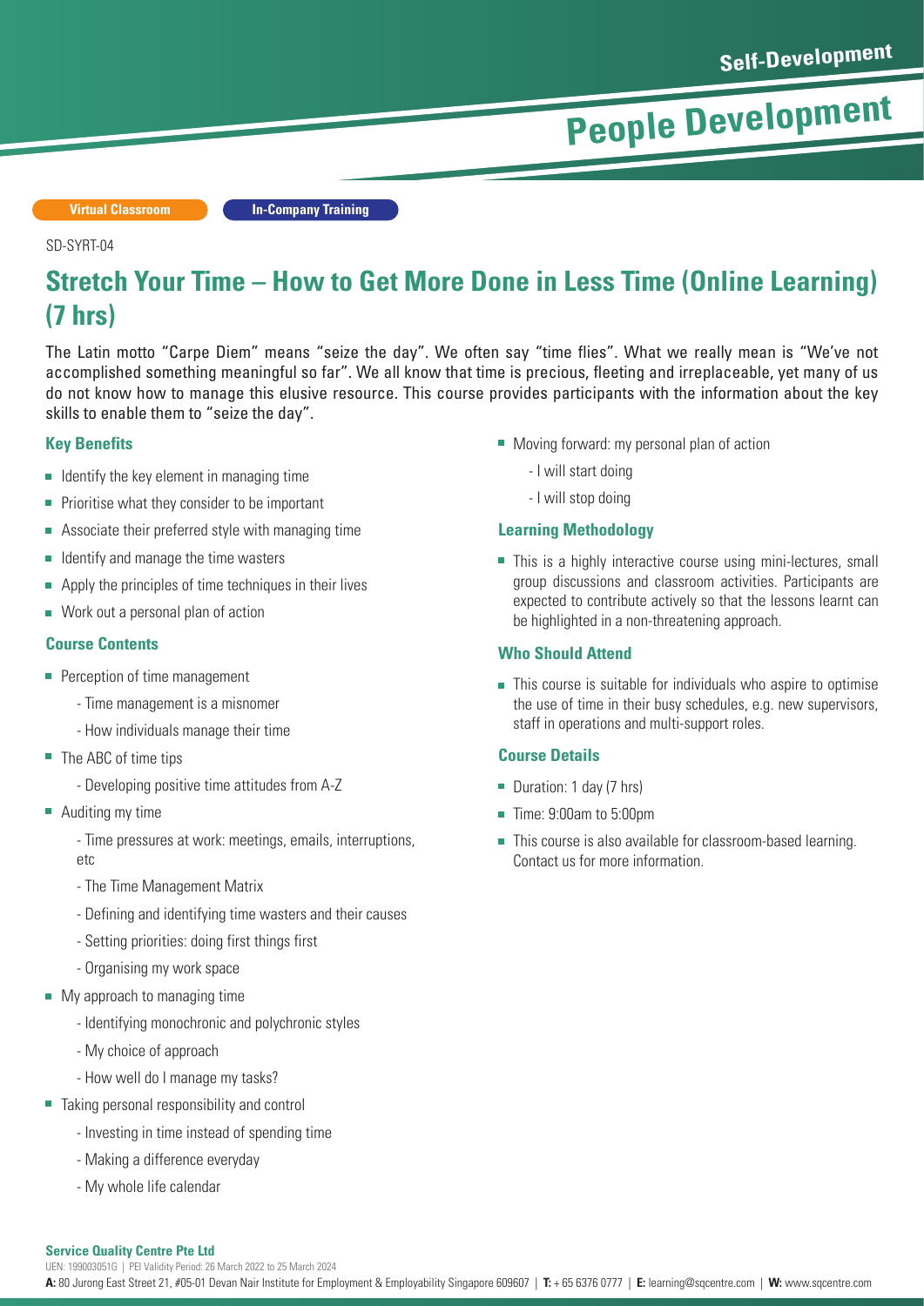**Virtual Classroom In-Company Training**

#### SD-SYRT-04

### **Stretch Your Time – How to Get More Done in Less Time (Online Learning) (7 hrs)**

The Latin motto "Carpe Diem" means "seize the day". We often say "time flies". What we really mean is "We've not accomplished something meaningful so far". We all know that time is precious, fleeting and irreplaceable, yet many of us do not know how to manage this elusive resource. This course provides participants with the information about the key skills to enable them to "seize the day".

#### **Key Benefits**

- $\blacksquare$  Identify the key element in managing time
- Prioritise what they consider to be important  $\overline{\phantom{a}}$
- Associate their preferred style with managing time
- Identify and manage the time wasters  $\mathbf{r}$
- Apply the principles of time techniques in their lives
- Work out a personal plan of action

#### **Course Contents**

- **Perception of time management** 
	- Time management is a misnomer
	- How individuals manage their time
- The ABC of time tips
	- Developing positive time attitudes from A-Z
- Auditing my time

- Time pressures at work: meetings, emails, interruptions, etc

- The Time Management Matrix
- Defining and identifying time wasters and their causes
- Setting priorities: doing first things first
- Organising my work space
- My approach to managing time
	- Identifying monochronic and polychronic styles
	- My choice of approach
	- How well do I manage my tasks?
- Taking personal responsibility and control
	- Investing in time instead of spending time
	- Making a difference everyday
	- My whole life calendar

#### Moving forward: my personal plan of action

- I will start doing
- I will stop doing

#### **Learning Methodology**

■ This is a highly interactive course using mini-lectures, small group discussions and classroom activities. Participants are expected to contribute actively so that the lessons learnt can be highlighted in a non-threatening approach.

#### **Who Should Attend**

■ This course is suitable for individuals who aspire to optimise the use of time in their busy schedules, e.g. new supervisors, staff in operations and multi-support roles.

#### **Course Details**

- Duration: 1 day (7 hrs)
- Time: 9:00am to 5:00pm
- This course is also available for classroom-based learning. Contact us for more information.

#### **Service Quality Centre Pte Ltd**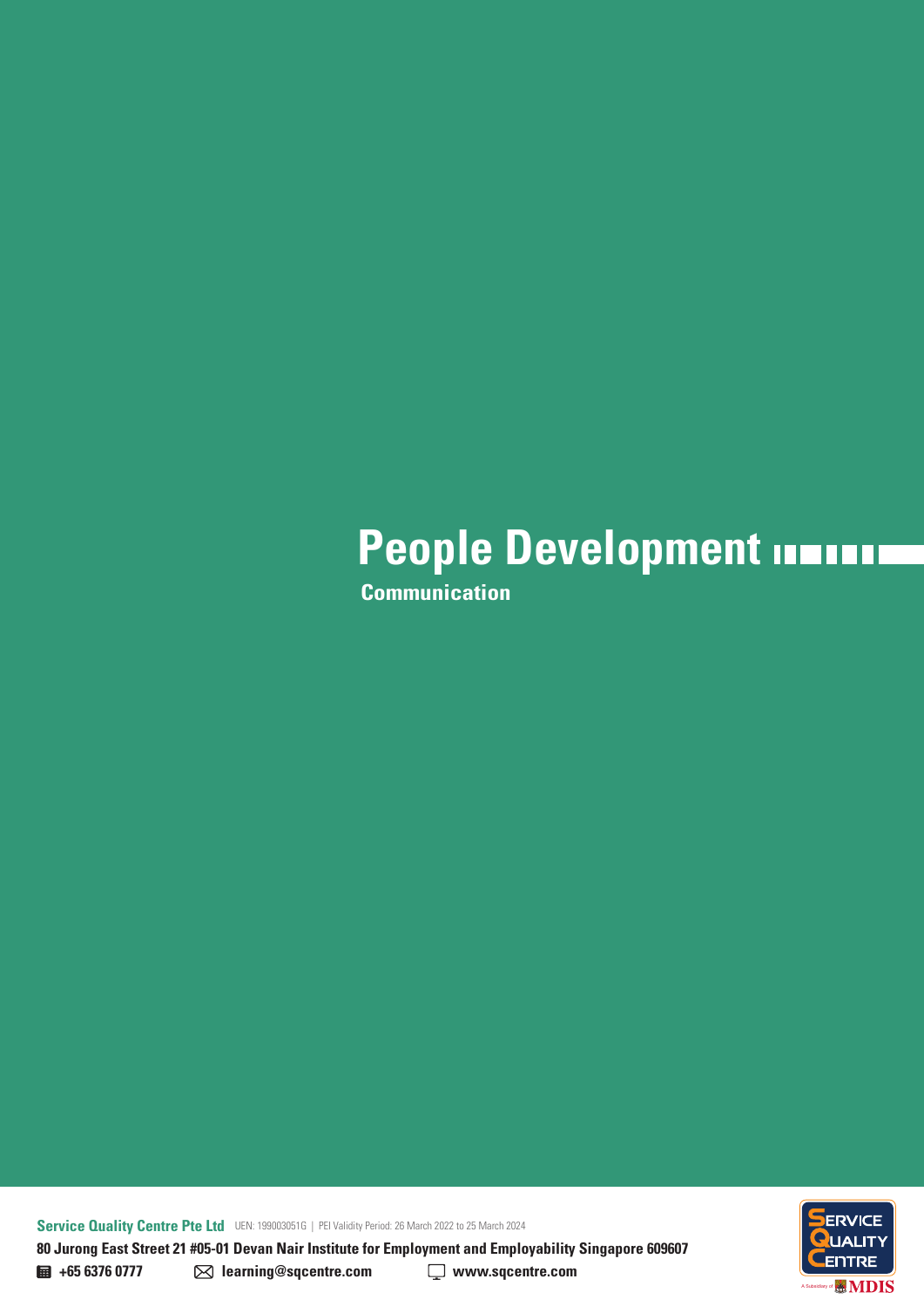**Communication**

**Service Quality Centre Pte Ltd** UEN: 199003051G | PEI Validity Period: 26 March 2022 to 25 March 2024 **80 Jurong East Street 21 #05-01 Devan Nair Institute for Employment and Employability Singapore 609607** 



**+65 6376 0777 learning@sqcentre.com www.sqcentre.com**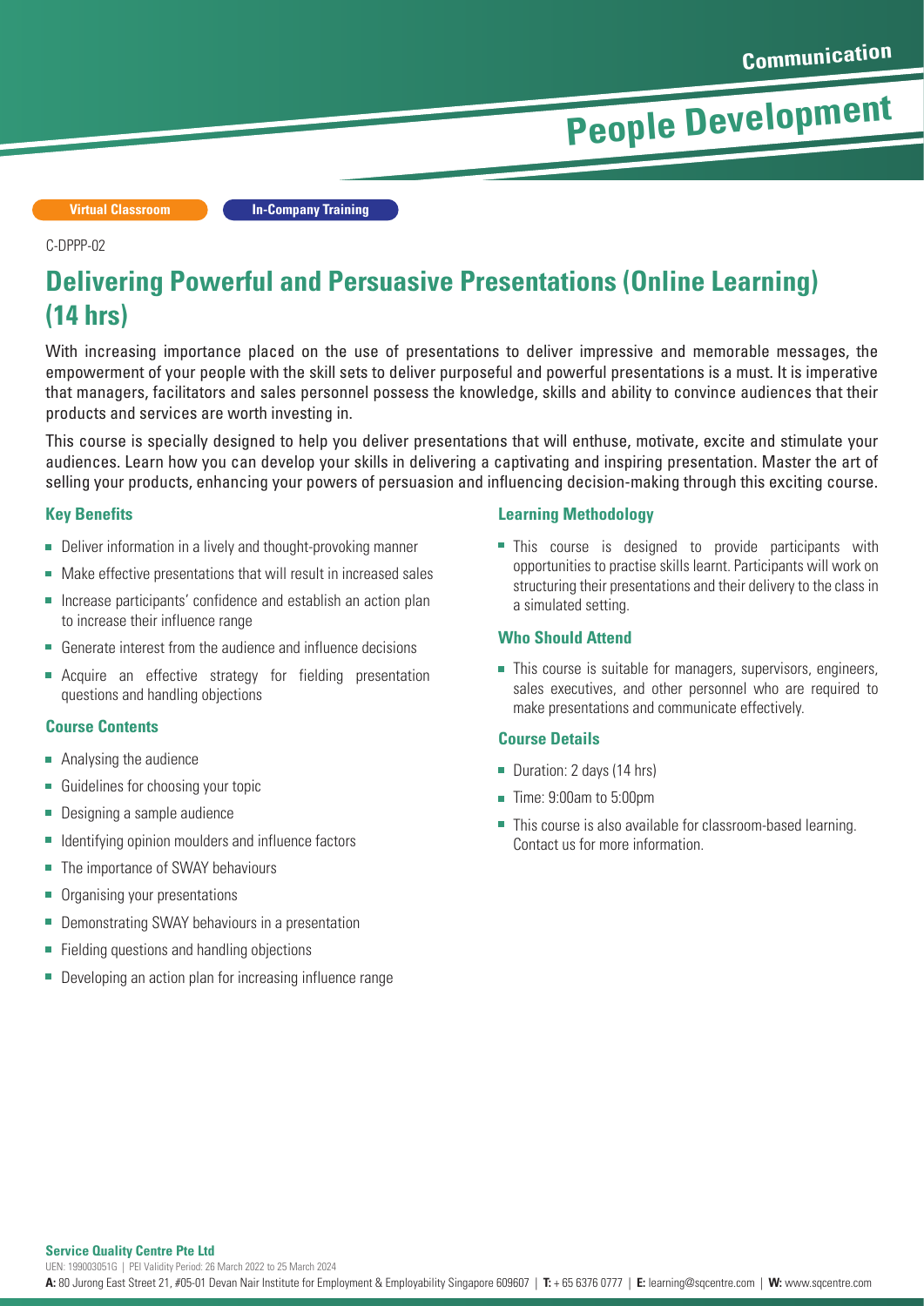**Virtual Classroom In-Company Training**

#### C-DPPP-02

### **Delivering Powerful and Persuasive Presentations (Online Learning) (14 hrs)**

With increasing importance placed on the use of presentations to deliver impressive and memorable messages, the empowerment of your people with the skill sets to deliver purposeful and powerful presentations is a must. It is imperative that managers, facilitators and sales personnel possess the knowledge, skills and ability to convince audiences that their products and services are worth investing in.

This course is specially designed to help you deliver presentations that will enthuse, motivate, excite and stimulate your audiences. Learn how you can develop your skills in delivering a captivating and inspiring presentation. Master the art of selling your products, enhancing your powers of persuasion and influencing decision-making through this exciting course.

#### **Key Benefits**

- Deliver information in a lively and thought-provoking manner
- Make effective presentations that will result in increased sales
- Increase participants' confidence and establish an action plan to increase their influence range
- Generate interest from the audience and influence decisions  $\overline{\phantom{a}}$
- **EXECUTEE:** Acquire an effective strategy for fielding presentation questions and handling objections

#### **Course Contents**

- **Analysing the audience**
- Guidelines for choosing your topic É
- Designing a sample audience n.
- Identifying opinion moulders and influence factors
- The importance of SWAY behaviours n.
- n. Organising your presentations
- Ē. Demonstrating SWAY behaviours in a presentation
- n. Fielding questions and handling objections
- Developing an action plan for increasing influence range

#### **Learning Methodology**

This course is designed to provide participants with opportunities to practise skills learnt. Participants will work on structuring their presentations and their delivery to the class in a simulated setting.

#### **Who Should Attend**

■ This course is suitable for managers, supervisors, engineers, sales executives, and other personnel who are required to make presentations and communicate effectively.

#### **Course Details**

- Duration: 2 days (14 hrs)
- Time: 9:00am to 5:00pm
- This course is also available for classroom-based learning. Contact us for more information.

**Service Quality Centre Pte Ltd**

UEN: 199003051G | PEI Validity Period: 26 March 2022 to 25 March 2024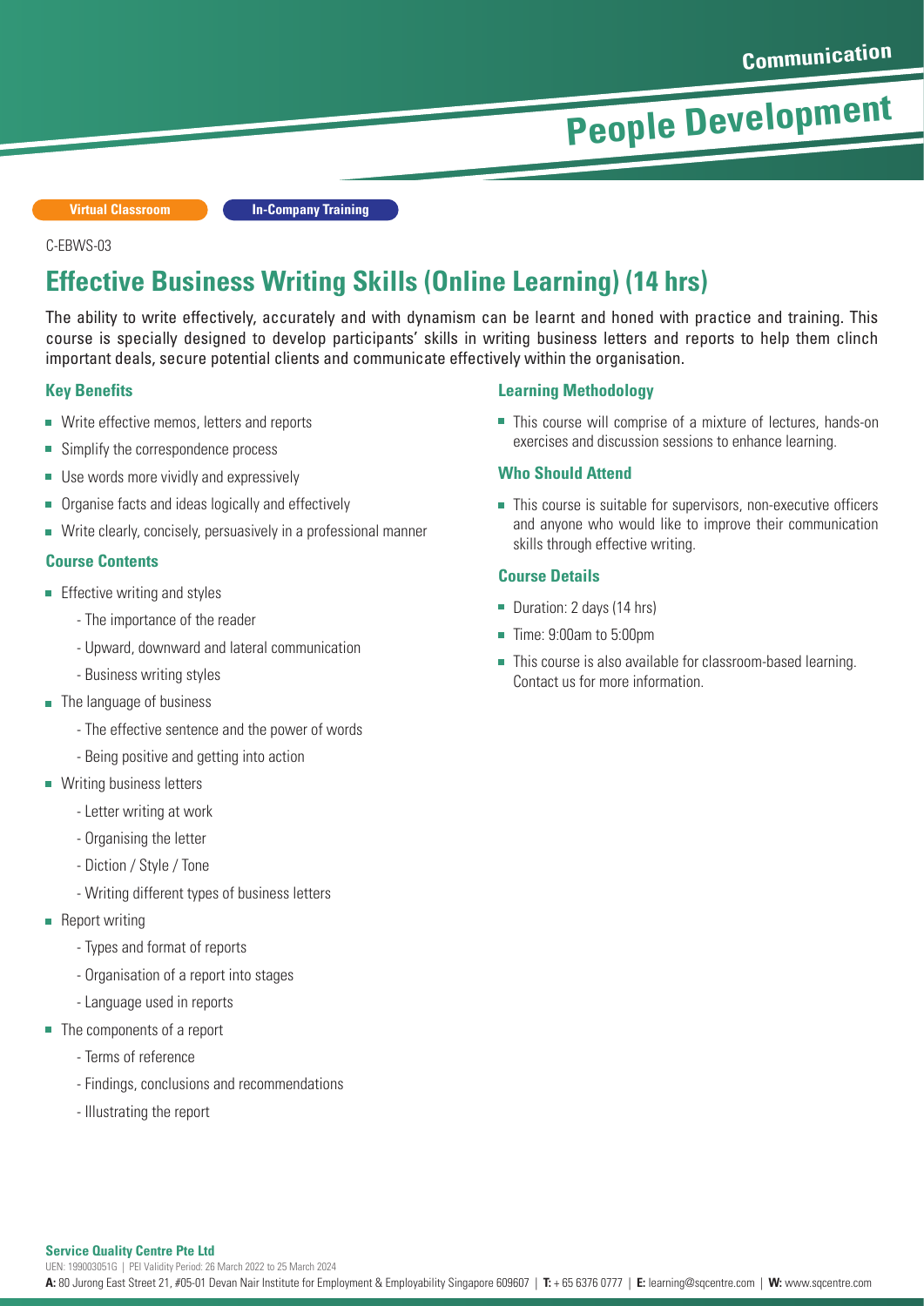**Virtual Classroom In-Company Training**

#### C-EBWS-03

### **Effective Business Writing Skills (Online Learning) (14 hrs)**

The ability to write effectively, accurately and with dynamism can be learnt and honed with practice and training. This course is specially designed to develop participants' skills in writing business letters and reports to help them clinch important deals, secure potential clients and communicate effectively within the organisation.

#### **Key Benefits**

- Write effective memos, letters and reports
- Simplify the correspondence process
- Use words more vividly and expressively  $\overline{\phantom{a}}$
- Organise facts and ideas logically and effectively F
- Write clearly, concisely, persuasively in a professional manner

#### **Course Contents**

- $\blacksquare$  Effective writing and styles
	- The importance of the reader
	- Upward, downward and lateral communication
	- Business writing styles
- **The language of business** 
	- The effective sentence and the power of words
	- Being positive and getting into action
- **Writing business letters** 
	- Letter writing at work
	- Organising the letter
	- Diction / Style / Tone
	- Writing different types of business letters
- Report writing
	- Types and format of reports
	- Organisation of a report into stages
	- Language used in reports
- The components of a report
	- Terms of reference
	- Findings, conclusions and recommendations
	- Illustrating the report

#### **Learning Methodology**

■ This course will comprise of a mixture of lectures, hands-on exercises and discussion sessions to enhance learning.

#### **Who Should Attend**

This course is suitable for supervisors, non-executive officers and anyone who would like to improve their communication skills through effective writing.

#### **Course Details**

- Duration: 2 days (14 hrs)
- Time: 9:00am to 5:00pm
- This course is also available for classroom-based learning. Contact us for more information.

#### **Service Quality Centre Pte Ltd**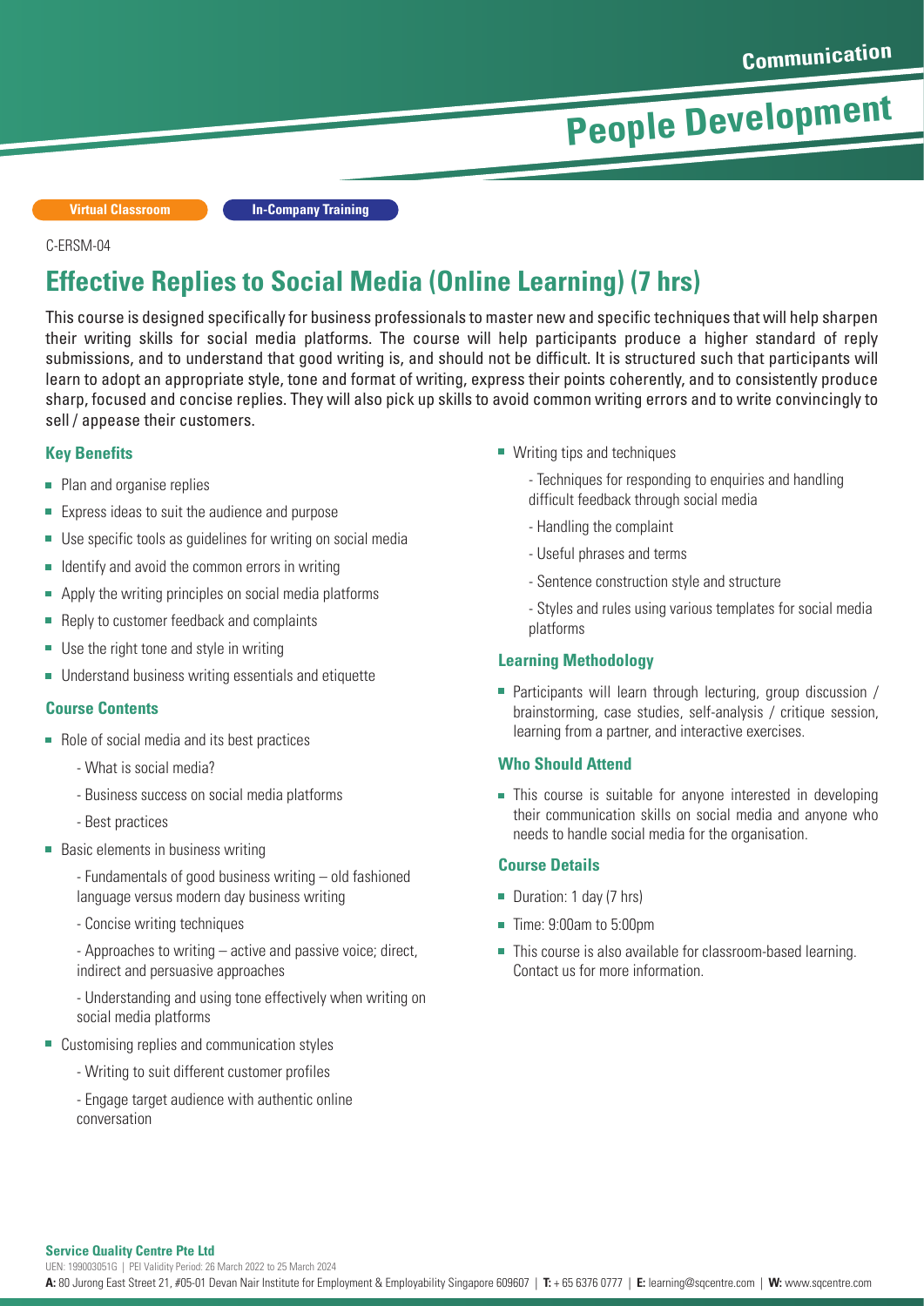**Virtual Classroom In-Company Training**

#### C-ERSM-04

### **Effective Replies to Social Media (Online Learning) (7 hrs)**

This course is designed specifically for business professionals to master new and specific techniques that will help sharpen their writing skills for social media platforms. The course will help participants produce a higher standard of reply submissions, and to understand that good writing is, and should not be difficult. It is structured such that participants will learn to adopt an appropriate style, tone and format of writing, express their points coherently, and to consistently produce sharp, focused and concise replies. They will also pick up skills to avoid common writing errors and to write convincingly to sell / appease their customers.

#### **Key Benefits**

- Plan and organise replies
- Express ideas to suit the audience and purpose
- n. Use specific tools as guidelines for writing on social media
- $\mathbf{r}$ Identify and avoid the common errors in writing
- Apply the writing principles on social media platforms  $\blacksquare$
- n. Reply to customer feedback and complaints
- Use the right tone and style in writing
- Understand business writing essentials and etiquette

#### **Course Contents**

- Role of social media and its best practices
	- What is social media?
	- Business success on social media platforms
	- Best practices
- Basic elements in business writing
	- Fundamentals of good business writing old fashioned language versus modern day business writing
	- Concise writing techniques

- Approaches to writing – active and passive voice; direct, indirect and persuasive approaches

- Understanding and using tone effectively when writing on social media platforms

- Customising replies and communication styles
	- Writing to suit different customer profiles
	- Engage target audience with authentic online conversation
- Writing tips and techniques
	- Techniques for responding to enquiries and handling difficult feedback through social media
	- Handling the complaint
	- Useful phrases and terms
	- Sentence construction style and structure
	- Styles and rules using various templates for social media platforms

#### **Learning Methodology**

■ Participants will learn through lecturing, group discussion / brainstorming, case studies, self-analysis / critique session, learning from a partner, and interactive exercises.

#### **Who Should Attend**

■ This course is suitable for anyone interested in developing their communication skills on social media and anyone who needs to handle social media for the organisation.

#### **Course Details**

- Duration: 1 day (7 hrs)
- Time: 9:00am to 5:00pm
- This course is also available for classroom-based learning. Contact us for more information.

#### **Service Quality Centre Pte Ltd**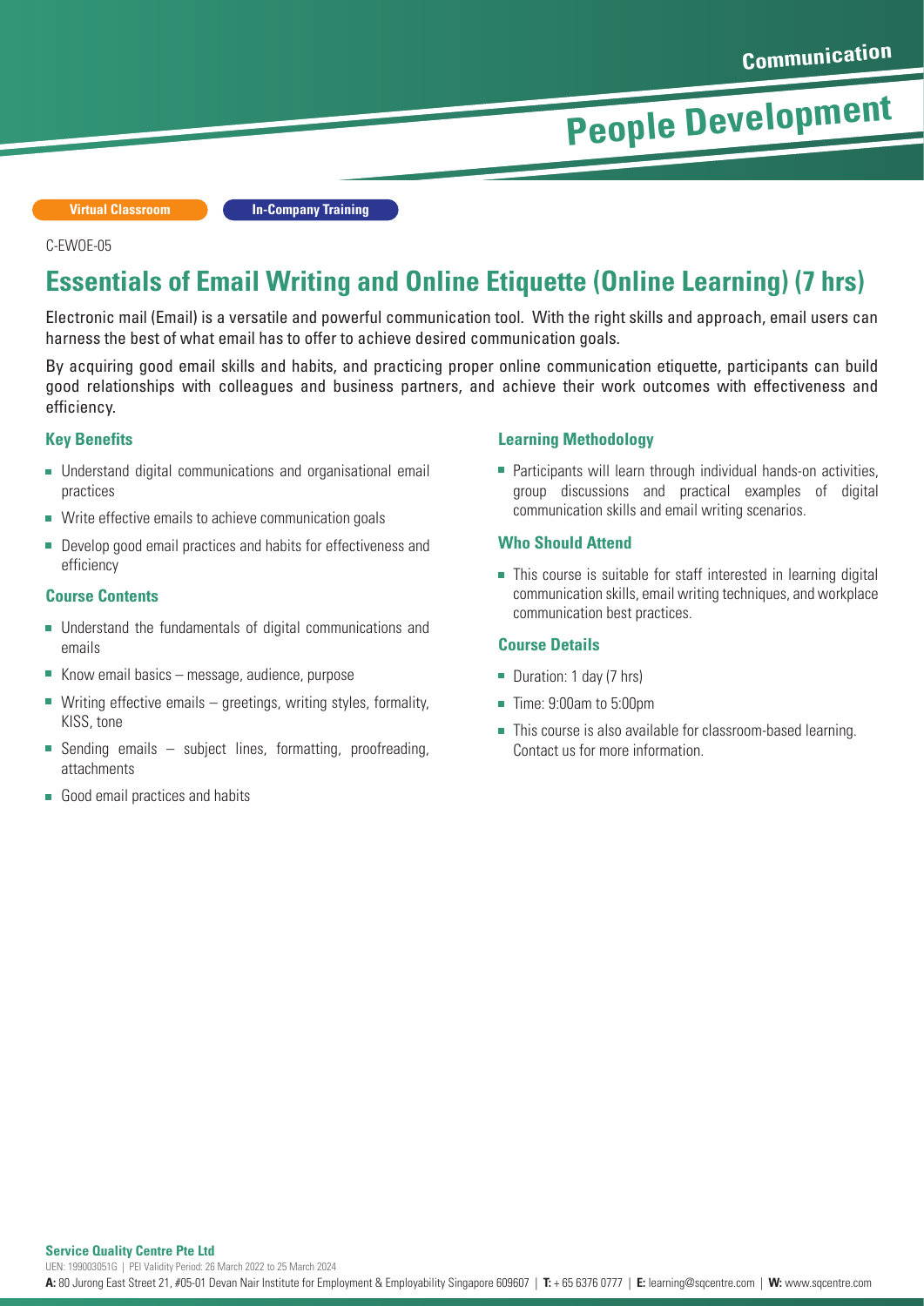**Virtual Classroom In-Company Training**

#### C-EWOE-05

### **Essentials of Email Writing and Online Etiquette (Online Learning) (7 hrs)**

Electronic mail (Email) is a versatile and powerful communication tool. With the right skills and approach, email users can harness the best of what email has to offer to achieve desired communication goals.

By acquiring good email skills and habits, and practicing proper online communication etiquette, participants can build good relationships with colleagues and business partners, and achieve their work outcomes with effectiveness and efficiency.

#### **Key Benefits**

- Understand digital communications and organisational email practices
- Write effective emails to achieve communication goals
- Develop good email practices and habits for effectiveness and efficiency

#### **Course Contents**

- Understand the fundamentals of digital communications and  $\mathbf{r}$ emails
- Know email basics message, audience, purpose
- $\overline{\phantom{a}}$ Writing effective emails – greetings, writing styles, formality, KISS, tone
- $\overline{\phantom{a}}$ Sending emails – subject lines, formatting, proofreading, attachments
- Good email practices and habits

#### **Learning Methodology**

**Participants will learn through individual hands-on activities,** group discussions and practical examples of digital communication skills and email writing scenarios.

#### **Who Should Attend**

This course is suitable for staff interested in learning digital communication skills, email writing techniques, and workplace communication best practices.

#### **Course Details**

- Duration: 1 day (7 hrs)
- Time: 9:00am to 5:00pm
- This course is also available for classroom-based learning. Contact us for more information.

UEN: 199003051G | PEI Validity Period: 26 March 2022 to 25 March 2024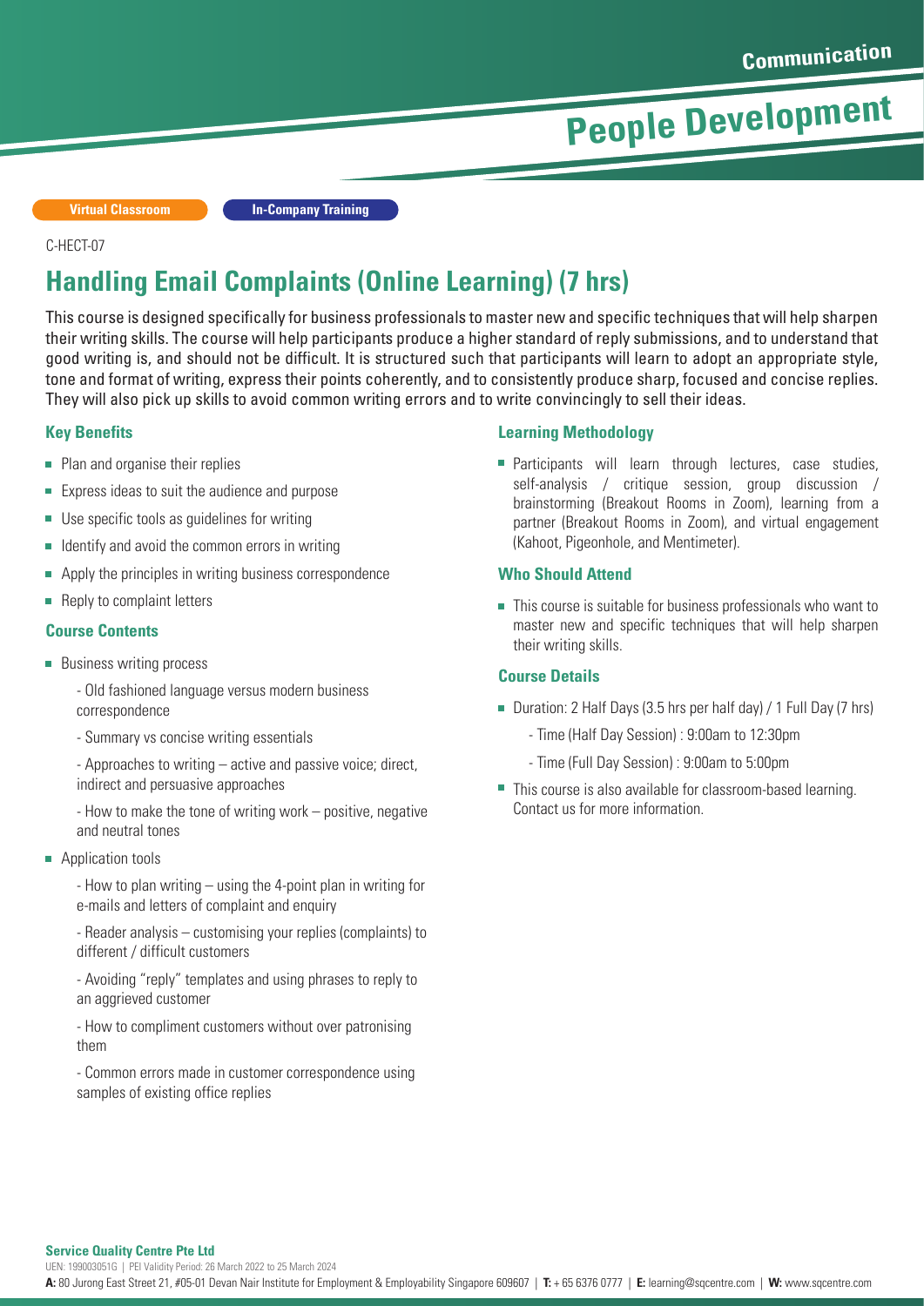**Virtual Classroom In-Company Training**

#### C-HECT-07

## **Handling Email Complaints (Online Learning) (7 hrs)**

This course is designed specifically for business professionals to master new and specific techniques that will help sharpen their writing skills. The course will help participants produce a higher standard of reply submissions, and to understand that good writing is, and should not be difficult. It is structured such that participants will learn to adopt an appropriate style, tone and format of writing, express their points coherently, and to consistently produce sharp, focused and concise replies. They will also pick up skills to avoid common writing errors and to write convincingly to sell their ideas.

#### **Key Benefits**

- Plan and organise their replies
- $\blacksquare$  Express ideas to suit the audience and purpose
- Use specific tools as quidelines for writing
- $\blacksquare$  Identify and avoid the common errors in writing
- É Apply the principles in writing business correspondence
- **Reply to complaint letters**

#### **Course Contents**

- **Business writing process** 
	- Old fashioned language versus modern business correspondence
	- Summary vs concise writing essentials

- Approaches to writing – active and passive voice; direct, indirect and persuasive approaches

- How to make the tone of writing work – positive, negative and neutral tones

**Application tools** 

- How to plan writing – using the 4-point plan in writing for e-mails and letters of complaint and enquiry

- Reader analysis – customising your replies (complaints) to different / difficult customers

- Avoiding "reply" templates and using phrases to reply to an aggrieved customer

- How to compliment customers without over patronising them

- Common errors made in customer correspondence using samples of existing office replies

#### **Learning Methodology**

**Participants will learn through lectures, case studies,** self-analysis / critique session, group discussion / brainstorming (Breakout Rooms in Zoom), learning from a partner (Breakout Rooms in Zoom), and virtual engagement (Kahoot, Pigeonhole, and Mentimeter).

#### **Who Should Attend**

■ This course is suitable for business professionals who want to master new and specific techniques that will help sharpen their writing skills.

#### **Course Details**

- Duration: 2 Half Days (3.5 hrs per half day) / 1 Full Day (7 hrs)
	- Time (Half Day Session) : 9:00am to 12:30pm
	- Time (Full Day Session) : 9:00am to 5:00pm
- This course is also available for classroom-based learning. Contact us for more information.

#### **Service Quality Centre Pte Ltd**

UEN: 199003051G | PEI Validity Period: 26 March 2022 to 25 March 2024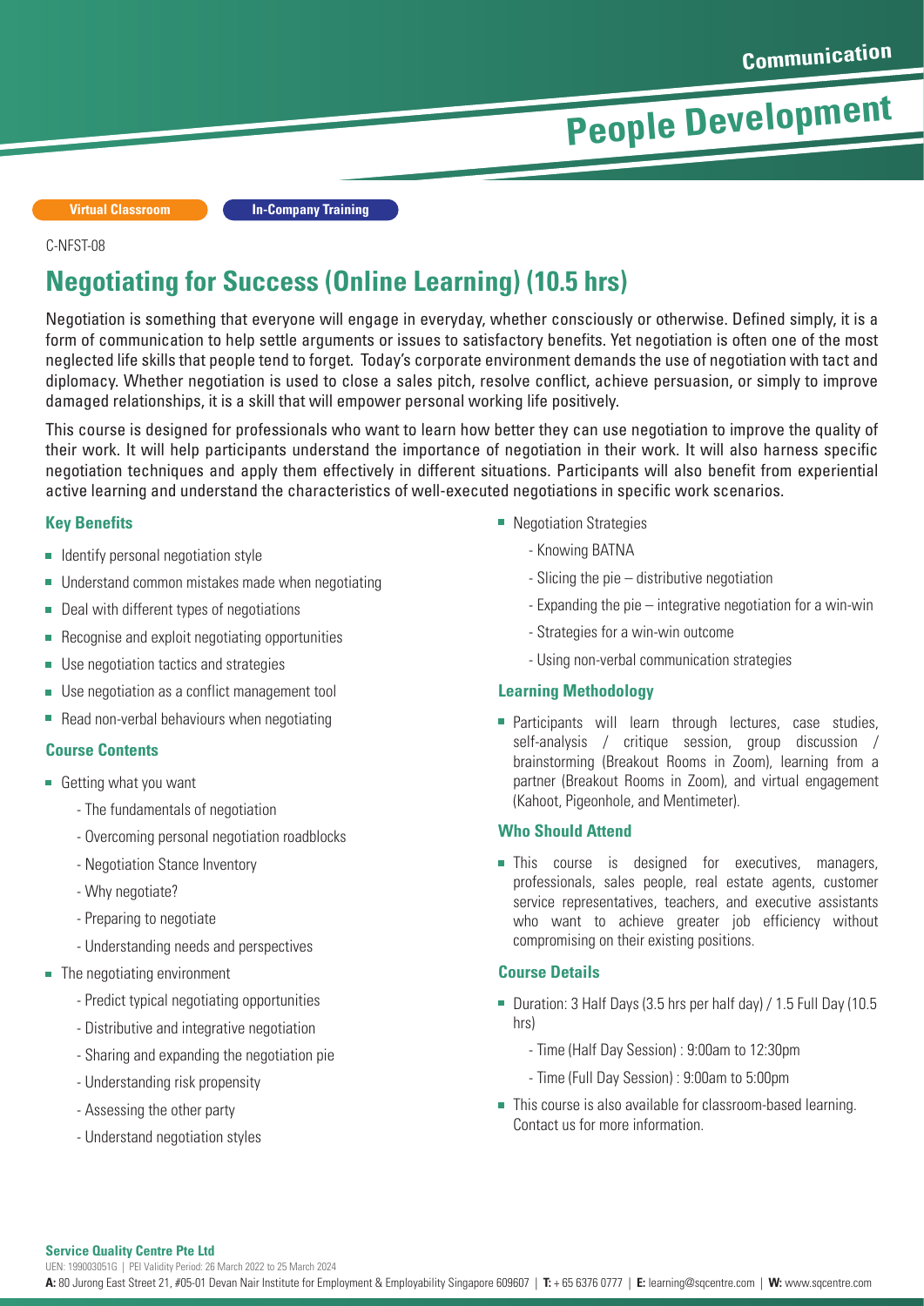**Virtual Classroom In-Company Training**

#### C-NFST-08

### **Negotiating for Success (Online Learning) (10.5 hrs)**

Negotiation is something that everyone will engage in everyday, whether consciously or otherwise. Defined simply, it is a form of communication to help settle arguments or issues to satisfactory benefits. Yet negotiation is often one of the most neglected life skills that people tend to forget. Today's corporate environment demands the use of negotiation with tact and diplomacy. Whether negotiation is used to close a sales pitch, resolve conflict, achieve persuasion, or simply to improve damaged relationships, it is a skill that will empower personal working life positively.

This course is designed for professionals who want to learn how better they can use negotiation to improve the quality of their work. It will help participants understand the importance of negotiation in their work. It will also harness specific negotiation techniques and apply them effectively in different situations. Participants will also benefit from experiential active learning and understand the characteristics of well-executed negotiations in specific work scenarios.

#### **Key Benefits**

- Identify personal negotiation style
- Understand common mistakes made when negotiating
- Deal with different types of negotiations
- Recognise and exploit negotiating opportunities  $\overline{\phantom{a}}$
- **Use negotiation tactics and strategies**
- Use negotiation as a conflict management tool
- $\blacksquare$  Read non-verbal behaviours when negotiating

#### **Course Contents**

- Getting what you want
	- The fundamentals of negotiation
	- Overcoming personal negotiation roadblocks
	- Negotiation Stance Inventory
	- Why negotiate?
	- Preparing to negotiate
	- Understanding needs and perspectives
- **The negotiating environment** 
	- Predict typical negotiating opportunities
	- Distributive and integrative negotiation
	- Sharing and expanding the negotiation pie
	- Understanding risk propensity
	- Assessing the other party
	- Understand negotiation styles
- **Negotiation Strategies** 
	- Knowing BATNA
	- Slicing the pie distributive negotiation
	- Expanding the pie integrative negotiation for a win-win
	- Strategies for a win-win outcome
	- Using non-verbal communication strategies

#### **Learning Methodology**

**Participants will learn through lectures, case studies,** self-analysis / critique session, group discussion / brainstorming (Breakout Rooms in Zoom), learning from a partner (Breakout Rooms in Zoom), and virtual engagement (Kahoot, Pigeonhole, and Mentimeter).

#### **Who Should Attend**

**This course is designed for executives, managers,** professionals, sales people, real estate agents, customer service representatives, teachers, and executive assistants who want to achieve greater job efficiency without compromising on their existing positions.

#### **Course Details**

- Duration: 3 Half Days (3.5 hrs per half day) / 1.5 Full Day (10.5 hrs)
	- Time (Half Day Session) : 9:00am to 12:30pm
	- Time (Full Day Session) : 9:00am to 5:00pm
- This course is also available for classroom-based learning. Contact us for more information.

#### **Service Quality Centre Pte Ltd**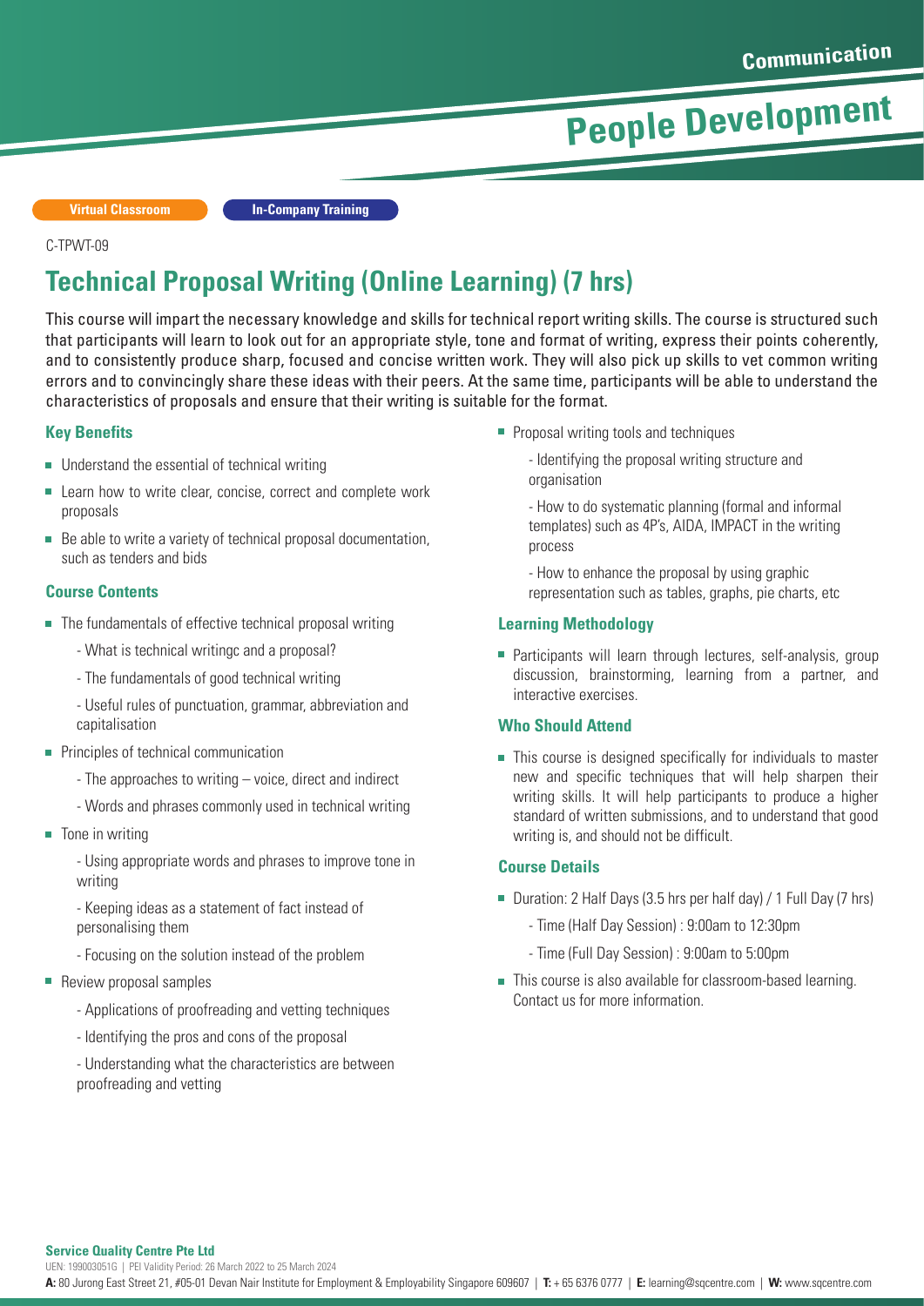**Virtual Classroom In-Company Training**

#### C-TPWT-09

## **Technical Proposal Writing (Online Learning) (7 hrs)**

This course will impart the necessary knowledge and skills for technical report writing skills. The course is structured such that participants will learn to look out for an appropriate style, tone and format of writing, express their points coherently, and to consistently produce sharp, focused and concise written work. They will also pick up skills to vet common writing errors and to convincingly share these ideas with their peers. At the same time, participants will be able to understand the characteristics of proposals and ensure that their writing is suitable for the format.

#### **Key Benefits**

- Understand the essential of technical writing
- Learn how to write clear, concise, correct and complete work proposals
- Be able to write a variety of technical proposal documentation, such as tenders and bids

#### **Course Contents**

- The fundamentals of effective technical proposal writing
	- What is technical writingc and a proposal?
	- The fundamentals of good technical writing
	- Useful rules of punctuation, grammar, abbreviation and capitalisation
- **Principles of technical communication** 
	- The approaches to writing voice, direct and indirect
	- Words and phrases commonly used in technical writing
- $\blacksquare$  Tone in writing
	- Using appropriate words and phrases to improve tone in writing
	- Keeping ideas as a statement of fact instead of personalising them
	- Focusing on the solution instead of the problem
- Review proposal samples
	- Applications of proofreading and vetting techniques
	- Identifying the pros and cons of the proposal
	- Understanding what the characteristics are between proofreading and vetting
- **Proposal writing tools and techniques** 
	- Identifying the proposal writing structure and organisation
	- How to do systematic planning (formal and informal templates) such as 4P's, AIDA, IMPACT in the writing process
	- How to enhance the proposal by using graphic representation such as tables, graphs, pie charts, etc

#### **Learning Methodology**

**Participants will learn through lectures, self-analysis, group** discussion, brainstorming, learning from a partner, and interactive exercises.

#### **Who Should Attend**

■ This course is designed specifically for individuals to master new and specific techniques that will help sharpen their writing skills. It will help participants to produce a higher standard of written submissions, and to understand that good writing is, and should not be difficult.

#### **Course Details**

- Duration: 2 Half Days (3.5 hrs per half day) / 1 Full Day (7 hrs)
	- Time (Half Day Session) : 9:00am to 12:30pm
	- Time (Full Day Session) : 9:00am to 5:00pm
- This course is also available for classroom-based learning. Contact us for more information.

**Service Quality Centre Pte Ltd**

UEN: 199003051G | PEI Validity Period: 26 March 2022 to 25 March 2024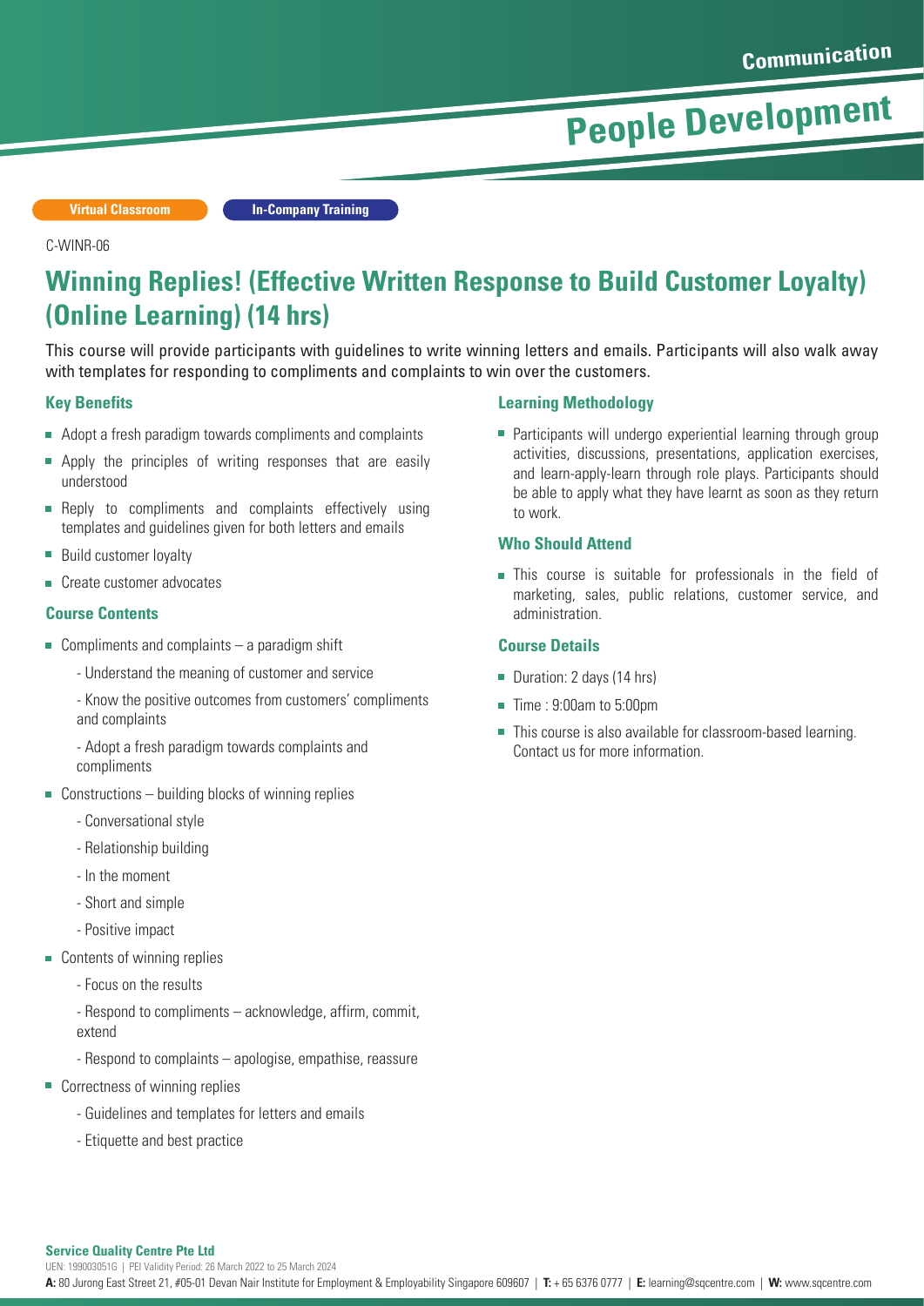**Virtual Classroom In-Company Training**

#### C-WINR-06

### **Winning Replies! (Effective Written Response to Build Customer Loyalty) (Online Learning) (14 hrs)**

This course will provide participants with guidelines to write winning letters and emails. Participants will also walk away with templates for responding to compliments and complaints to win over the customers.

#### **Key Benefits**

- Adopt a fresh paradigm towards compliments and complaints
- Apply the principles of writing responses that are easily understood
- Reply to compliments and complaints effectively using  $\overline{\phantom{a}}$ templates and guidelines given for both letters and emails
- Build customer loyalty  $\overline{\phantom{a}}$
- Create customer advocates

#### **Course Contents**

- Compliments and complaints  $-$  a paradigm shift
	- Understand the meaning of customer and service
	- Know the positive outcomes from customers' compliments and complaints
	- Adopt a fresh paradigm towards complaints and compliments
- $\blacksquare$  Constructions building blocks of winning replies
	- Conversational style
	- Relationship building
	- In the moment
	- Short and simple
	- Positive impact
- Contents of winning replies
	- Focus on the results
	- Respond to compliments acknowledge, affirm, commit, extend
	- Respond to complaints apologise, empathise, reassure
- Correctness of winning replies
	- Guidelines and templates for letters and emails
	- Etiquette and best practice

#### **Learning Methodology**

■ Participants will undergo experiential learning through group activities, discussions, presentations, application exercises, and learn-apply-learn through role plays. Participants should be able to apply what they have learnt as soon as they return to work.

#### **Who Should Attend**

**This course is suitable for professionals in the field of** marketing, sales, public relations, customer service, and administration.

#### **Course Details**

- Duration: 2 days (14 hrs)
- Time : 9:00am to 5:00pm
- This course is also available for classroom-based learning. Contact us for more information.

#### **Service Quality Centre Pte Ltd**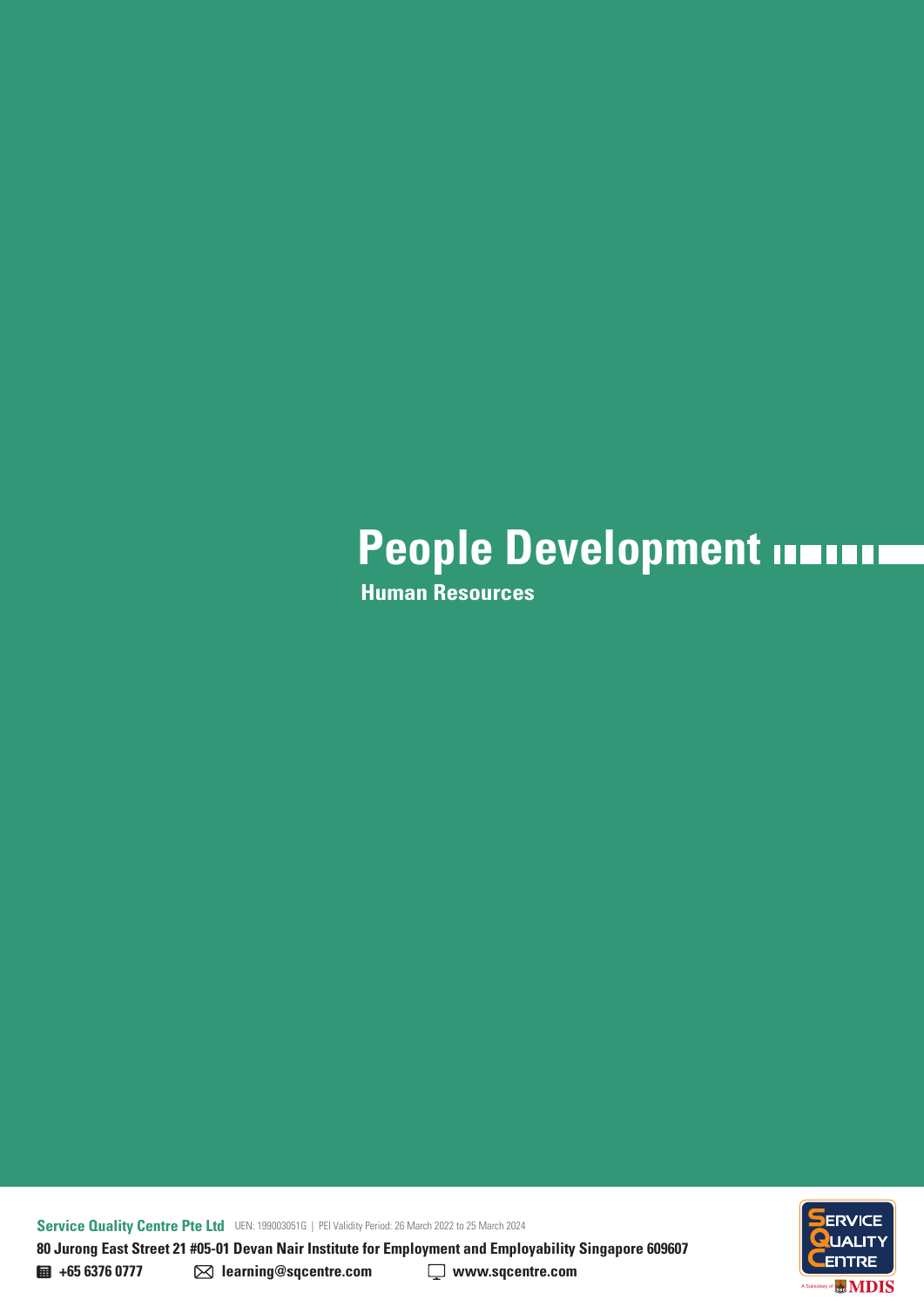**Human Resources**

**Service Quality Centre Pte Ltd** UEN: 199003051G | PEI Validity Period: 26 March 2022 to 25 March 2024 **80 Jurong East Street 21 #05-01 Devan Nair Institute for Employment and Employability Singapore 609607** 

ENTRE **MDIS** A Subsidiary of

**+65 6376 0777 learning@sqcentre.com www.sqcentre.com**